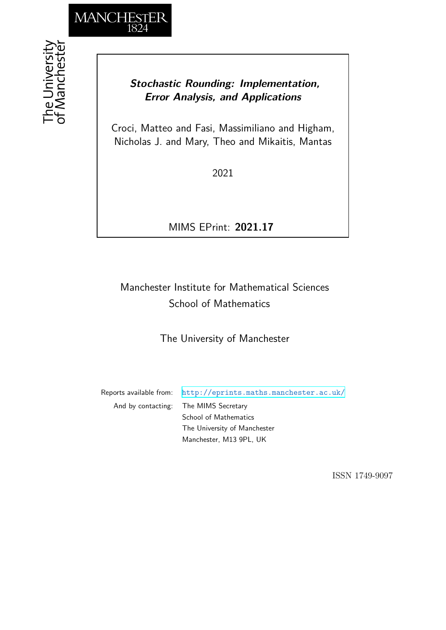

## *Stochastic Rounding: Implementation, Error Analysis, and Applications*

Croci, Matteo and Fasi, Massimiliano and Higham, Nicholas J. and Mary, Theo and Mikaitis, Mantas

2021

MIMS EPrint: **2021.17**

# Manchester Institute for Mathematical Sciences School of Mathematics

The University of Manchester

Reports available from: <http://eprints.maths.manchester.ac.uk/> And by contacting: The MIMS Secretary School of Mathematics The University of Manchester Manchester, M13 9PL, UK

ISSN 1749-9097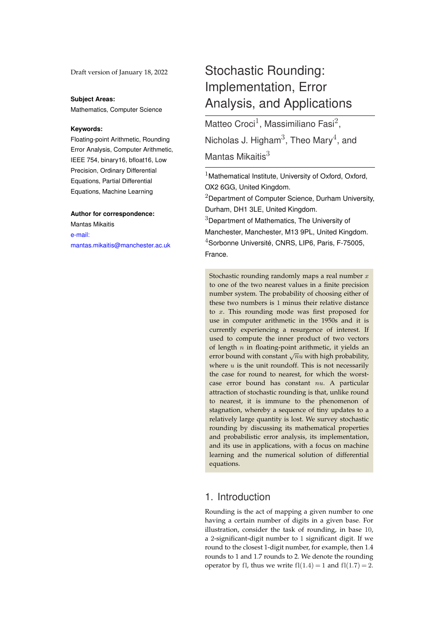Draft version of January 18, 2022

#### **Subject Areas:**

Mathematics, Computer Science

#### **Keywords:**

Floating-point Arithmetic, Rounding Error Analysis, Computer Arithmetic, IEEE 754, binary16, bfloat16, Low Precision, Ordinary Differential Equations, Partial Differential Equations, Machine Learning

#### **Author for correspondence:**

Mantas Mikaitis [e-mail:](mailto:mantas.mikaitis@manchester.ac.uk) [mantas.mikaitis@manchester.ac.uk](mailto:mantas.mikaitis@manchester.ac.uk)

# Stochastic Rounding: Implementation, Error Analysis, and Applications

Matteo Croci<sup>1</sup>, Massimiliano Fasi<sup>2</sup>, Nicholas J. Higham $^3$ , Theo Mary $^4$ , and Mantas Mikaitis $3$ 

 $1$ Mathematical Institute, University of Oxford, Oxford, OX2 6GG, United Kingdom.

 $2$ Department of Computer Science, Durham University, Durham, DH1 3LE, United Kingdom.

<sup>3</sup>Department of Mathematics, The University of

Manchester, Manchester, M13 9PL, United Kingdom.

<sup>4</sup>Sorbonne Université, CNRS, LIP6, Paris, F-75005, France.

Stochastic rounding randomly maps a real number  $x$ to one of the two nearest values in a finite precision number system. The probability of choosing either of these two numbers is 1 minus their relative distance to x. This rounding mode was first proposed for use in computer arithmetic in the 1950s and it is currently experiencing a resurgence of interest. If used to compute the inner product of two vectors of length  $n$  in floating-point arithmetic, it yields an For length  $n$  in housing point and metal, it yields and error bound with constant  $\sqrt{n}u$  with high probability, where  $u$  is the unit roundoff. This is not necessarily the case for round to nearest, for which the worstcase error bound has constant nu. A particular attraction of stochastic rounding is that, unlike round to nearest, it is immune to the phenomenon of stagnation, whereby a sequence of tiny updates to a relatively large quantity is lost. We survey stochastic rounding by discussing its mathematical properties and probabilistic error analysis, its implementation, and its use in applications, with a focus on machine learning and the numerical solution of differential equations.

## 1. Introduction

Rounding is the act of mapping a given number to one having a certain number of digits in a given base. For illustration, consider the task of rounding, in base 10, a 2-significant-digit number to 1 significant digit. If we round to the closest 1-digit number, for example, then 1.4 rounds to 1 and 1.7 rounds to 2. We denote the rounding operator by fl, thus we write  $f(1.4) = 1$  and  $f(1.7) = 2$ .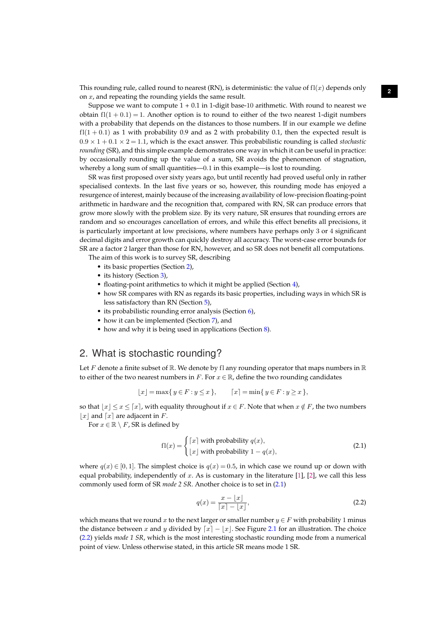This rounding rule, called round to nearest (RN), is deterministic: the value of  $f(x)$  depends only on  $x$ , and repeating the rounding yields the same result.

<span id="page-2-3"></span>Suppose we want to compute  $1 + 0.1$  in 1-digit base-10 arithmetic. With round to nearest we obtain  $f(x) = 1$ . Another option is to round to either of the two nearest 1-digit numbers with a probability that depends on the distances to those numbers. If in our example we define  $f(1 + 0.1)$  as 1 with probability 0.9 and as 2 with probability 0.1, then the expected result is  $0.9 \times 1 + 0.1 \times 2 = 1.1$ , which is the exact answer. This probabilistic rounding is called *stochastic rounding* (SR), and this simple example demonstrates one way in which it can be useful in practice: by occasionally rounding up the value of a sum, SR avoids the phenomenon of stagnation, whereby a long sum of small quantities—0.1 in this example—is lost to rounding.

SR was first proposed over sixty years ago, but until recently had proved useful only in rather specialised contexts. In the last five years or so, however, this rounding mode has enjoyed a resurgence of interest, mainly because of the increasing availability of low-precision floating-point arithmetic in hardware and the recognition that, compared with RN, SR can produce errors that grow more slowly with the problem size. By its very nature, SR ensures that rounding errors are random and so encourages cancellation of errors, and while this effect benefits all precisions, it is particularly important at low precisions, where numbers have perhaps only 3 or 4 significant decimal digits and error growth can quickly destroy all accuracy. The worst-case error bounds for SR are a factor 2 larger than those for RN, however, and so SR does not benefit all computations.

The aim of this work is to survey SR, describing

- its basic properties (Section [2\)](#page-2-0),
- its history (Section [3\)](#page-3-0),
- floating-point arithmetics to which it might be applied (Section [4\)](#page-4-0),
- how SR compares with RN as regards its basic properties, including ways in which SR is less satisfactory than RN (Section [5\)](#page-5-0),
- its probabilistic rounding error analysis (Section [6\)](#page-7-0),
- how it can be implemented (Section [7\)](#page-9-0), and
- how and why it is being used in applications (Section [8\)](#page-16-0).

## <span id="page-2-0"></span>2. What is stochastic rounding?

Let F denote a finite subset of  $\mathbb R$ . We denote by fl any rounding operator that maps numbers in  $\mathbb R$ to either of the two nearest numbers in F. For  $x \in \mathbb{R}$ , define the two rounding candidates

$$
[x] = \max\{y \in F : y \le x\}, \qquad [x] = \min\{y \in F : y \ge x\},\
$$

so that  $|x| \leq x \leq \lceil x \rceil$ , with equality throughout if  $x \in F$ . Note that when  $x \notin F$ , the two numbers |x| and  $\lceil x \rceil$  are adjacent in F.

For  $x \in \mathbb{R} \setminus F$ , SR is defined by

$$
f1(x) = \begin{cases} \lceil x \rceil \text{ with probability } q(x), \\ \lfloor x \rfloor \text{ with probability } 1 - q(x), \end{cases}
$$
 (2.1)

where  $q(x) \in [0, 1]$ . The simplest choice is  $q(x) = 0.5$ , in which case we round up or down with equal probability, independently of x. As is customary in the literature [\[1\]](#page-27-0), [\[2\]](#page-27-1), we call this less commonly used form of SR *mode 2 SR*. Another choice is to set in [\(2.1\)](#page-2-1)

<span id="page-2-2"></span><span id="page-2-1"></span>
$$
q(x) = \frac{x - \lfloor x \rfloor}{\lceil x \rceil - \lfloor x \rfloor},\tag{2.2}
$$

which means that we round x to the next larger or smaller number  $y \in F$  with probability 1 minus the distance between x and y divided by  $[x] - |x|$ . See Figure [2.1](#page-3-1) for an illustration. The choice [\(2.2\)](#page-2-2) yields *mode 1 SR*, which is the most interesting stochastic rounding mode from a numerical point of view. Unless otherwise stated, in this article SR means mode 1 SR.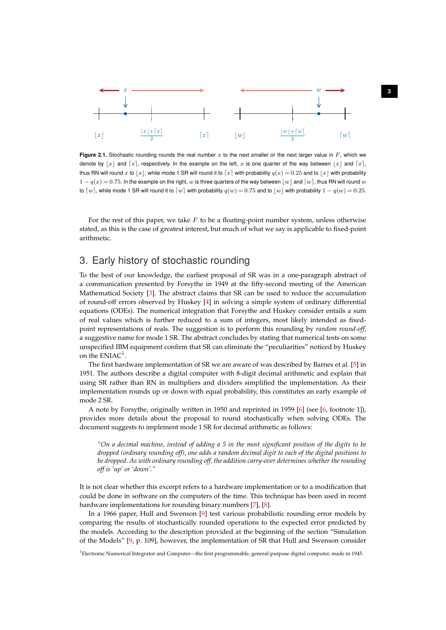

<span id="page-3-3"></span><span id="page-3-1"></span>**Figure 2.1.** Stochastic rounding rounds the real number  $x$  to the next smaller or the next larger value in  $F$ , which we denote by  $|x|$  and  $\lceil x \rceil$ , respectively. In the example on the left, x is one quarter of the way between  $|x|$  and  $\lceil x \rceil$ , thus RN will round x to  $\lfloor x \rfloor$ , while mode 1 SR will round it to  $\lceil x \rceil$  with probability  $q(x) = 0.25$  and to  $\lfloor x \rfloor$  with probability  $1 - q(x) = 0.75$ . In the example on the right, w is three quarters of the way between  $|w|$  and  $|w|$ , thus RN will round w to [w], while mode 1 SR will round it to [w] with probability  $q(w) = 0.75$  and to |w| with probability  $1 - q(w) = 0.25$ .

For the rest of this paper, we take  $F$  to be a floating-point number system, unless otherwise stated, as this is the case of greatest interest, but much of what we say is applicable to fixed-point arithmetic.

## <span id="page-3-0"></span>3. Early history of stochastic rounding

To the best of our knowledge, the earliest proposal of SR was in a one-paragraph abstract of a communication presented by Forsythe in 1949 at the fifty-second meeting of the American Mathematical Society [\[3\]](#page-27-2). The abstract claims that SR can be used to reduce the accumulation of round-off errors observed by Huskey [\[4\]](#page-27-3) in solving a simple system of ordinary differential equations (ODEs). The numerical integration that Forsythe and Huskey consider entails a sum of real values which is further reduced to a sum of integers, most likely intended as fixedpoint representations of reals. The suggestion is to perform this rounding by *random round-off*, a suggestive name for mode 1 SR. The abstract concludes by stating that numerical tests on some unspecified IBM equipment confirm that SR can eliminate the "peculiarities" noticed by Huskey on the  $\mathrm{ENIAC}^1$  $\mathrm{ENIAC}^1$ .

The first hardware implementation of SR we are aware of was described by Barnes et al. [\[5\]](#page-27-4) in 1951. The authors describe a digital computer with 8-digit decimal arithmetic and explain that using SR rather than RN in multipliers and dividers simplified the implementation. As their implementation rounds up or down with equal probability, this constitutes an early example of mode 2 SR.

A note by Forsythe, originally written in 1950 and reprinted in 1959 [\[6\]](#page-27-5) (see [\[6,](#page-27-5) footnote 1]), provides more details about the proposal to round stochastically when solving ODEs. The document suggests to implement mode 1 SR for decimal arithmetic as follows:

*"On a decimal machine, instead of adding a 5 in the most significant position of the digits to be dropped (ordinary rounding off), one adds a random decimal digit to each of the digital positions to be dropped. As with ordinary rounding off, the addition carry-over determines whether the rounding off is 'up' or 'down'."*

It is not clear whether this excerpt refers to a hardware implementation or to a modification that could be done in software on the computers of the time. This technique has been used in recent hardware implementations for rounding binary numbers [\[7\]](#page-27-6), [\[8\]](#page-27-7).

In a 1966 paper, Hull and Swenson [\[9\]](#page-27-8) test various probabilistic rounding error models by comparing the results of stochastically rounded operations to the expected error predicted by the models. According to the description provided at the beginning of the section "Simulation of the Models" [\[9,](#page-27-8) p. 109], however, the implementation of SR that Hull and Swenson consider

<span id="page-3-2"></span><sup>1</sup>Electronic Numerical Integrator and Computer—the first programmable, general-purpose digital computer, made in 1945.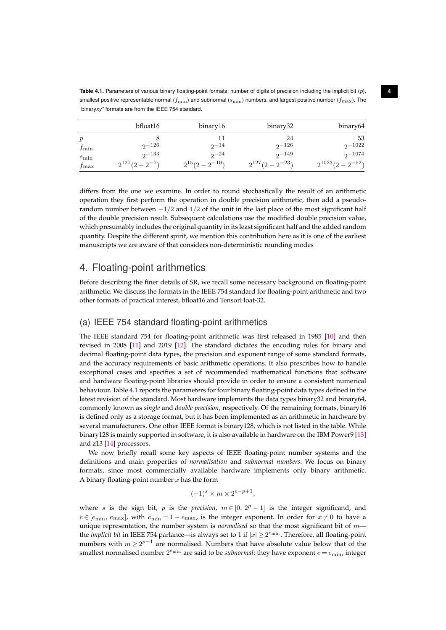<span id="page-4-1"></span>**Table 4.1.** Parameters of various binary floating-point formats: number of digits of precision including the implicit bit (p),  $4$ smallest positive representable normal ( $f_{\min}$ ) and subnormal ( $s_{\min}$ ) numbers, and largest positive number ( $f_{\max}$ ). The "binary*xy*" formats are from the IEEE 754 standard.

<span id="page-4-2"></span>

|               | bfloat16            | binary16            | binary32             | binary64              |
|---------------|---------------------|---------------------|----------------------|-----------------------|
| p             |                     |                     | 24                   | 53                    |
| $f_{\min}$    | $2^{\sim}$ 126      | $2^{\sim}14$        | $2^{\sim}$ 126       | $2^{\sim}1022$        |
| $s_{\min}$    | $2^{\sim}133$       | $2^{\sim}$          | $2 - 149$            | $2^{\sim 1074}$       |
| $f_{\rm max}$ | $2^{127}(2-2^{-7})$ | $2^{15}(2-2^{-10})$ | $2^{127}(2-2^{-23})$ | $2^{1023}(2-2^{-52})$ |

differs from the one we examine. In order to round stochastically the result of an arithmetic operation they first perform the operation in double precision arithmetic, then add a pseudorandom number between  $-1/2$  and  $1/2$  of the unit in the last place of the most significant half of the double precision result. Subsequent calculations use the modified double precision value, which presumably includes the original quantity in its least significant half and the added random quantity. Despite the different spirit, we mention this contribution here as it is one of the earliest manuscripts we are aware of that considers non-deterministic rounding modes

## <span id="page-4-0"></span>4. Floating-point arithmetics

Before describing the finer details of SR, we recall some necessary background on floating-point arithmetic. We discuss the formats in the IEEE 754 standard for floating-point arithmetic and two other formats of practical interest, bfloat16 and TensorFloat-32.

## (a) IEEE 754 standard floating-point arithmetics

The IEEE standard 754 for floating-point arithmetic was first released in 1985 [\[10\]](#page-27-9) and then revised in 2008 [\[11\]](#page-27-10) and 2019 [\[12\]](#page-27-11). The standard dictates the encoding rules for binary and decimal floating-point data types, the precision and exponent range of some standard formats, and the accuracy requirements of basic arithmetic operations. It also prescribes how to handle exceptional cases and specifies a set of recommended mathematical functions that software and hardware floating-point libraries should provide in order to ensure a consistent numerical behaviour. Table [4.1](#page-4-1) reports the parameters for four binary floating-point data types defined in the latest revision of the standard. Most hardware implements the data types binary32 and binary64, commonly known as *single* and *double precision*, respectively. Of the remaining formats, binary16 is defined only as a storage format, but it has been implemented as an arithmetic in hardware by several manufacturers. One other IEEE format is binary128, which is not listed in the table. While binary128 is mainly supported in software, it is also available in hardware on the IBM Power9 [\[13\]](#page-27-12) and z13 [\[14\]](#page-28-0) processors.

We now briefly recall some key aspects of IEEE floating-point number systems and the definitions and main properties of *normalisation* and *subnormal numbers*. We focus on binary formats, since most commercially available hardware implements only binary arithmetic. A binary floating-point number  $x$  has the form

$$
(-1)^s \times m \times 2^{e-p+1},
$$

where *s* is the sign bit, *p* is the *precision*,  $m \in [0, 2^p - 1]$  is the integer significand, and  $e \in [e_{\min}, e_{\max}]$ , with  $e_{\min} = 1 - e_{\max}$ , is the integer exponent. In order for  $x \neq 0$  to have a unique representation, the number system is *normalised* so that the most significant bit of m the *implicit bit* in IEEE 754 parlance—is always set to 1 if  $|x| \geq 2^{e_{\min}}$ . Therefore, all floating-point numbers with  $m \geq 2^{p-1}$  are normalised. Numbers that have absolute value below that of the smallest normalised number  $2^{e_{\min}}$  are said to be *subnormal*: they have exponent  $e = e_{\min}$ , integer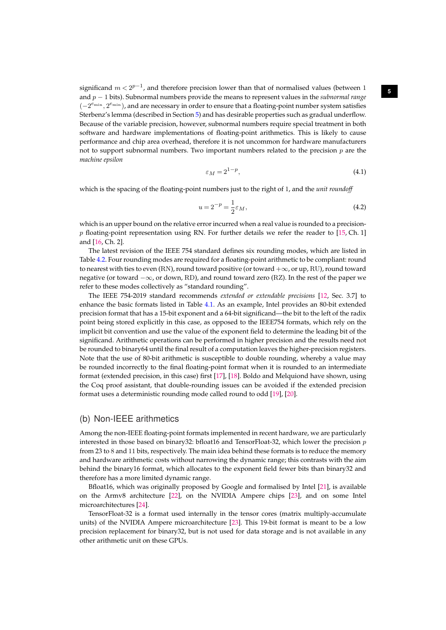significand  $m < 2^{p-1}$ , and therefore precision lower than that of normalised values (between 1 and p − 1 bits). Subnormal numbers provide the means to represent values in the *subnormal range*  $(-2^{e_{\min}}, 2^{e_{\min}})$ , and are necessary in order to ensure that a floating-point number system satisfies Sterbenz's lemma (described in Section [5\)](#page-5-0) and has desirable properties such as gradual underflow. Because of the variable precision, however, subnormal numbers require special treatment in both software and hardware implementations of floating-point arithmetics. This is likely to cause performance and chip area overhead, therefore it is not uncommon for hardware manufacturers not to support subnormal numbers. Two important numbers related to the precision  $p$  are the *machine epsilon*

<span id="page-5-1"></span>
$$
\varepsilon_M = 2^{1-p},\tag{4.1}
$$

<span id="page-5-3"></span>which is the spacing of the floating-point numbers just to the right of 1, and the *unit roundoff*

<span id="page-5-2"></span>
$$
u = 2^{-p} = \frac{1}{2}\varepsilon_M,\tag{4.2}
$$

which is an upper bound on the relative error incurred when a real value is rounded to a precision $p$  floating-point representation using RN. For further details we refer the reader to [\[15,](#page-28-1) Ch. 1] and [\[16,](#page-28-2) Ch. 2].

The latest revision of the IEEE 754 standard defines six rounding modes, which are listed in Table [4.2.](#page-6-0) Four rounding modes are required for a floating-point arithmetic to be compliant: round to nearest with ties to even (RN), round toward positive (or toward  $+\infty$ , or up, RU), round toward negative (or toward −∞, or down, RD), and round toward zero (RZ). In the rest of the paper we refer to these modes collectively as "standard rounding".

The IEEE 754-2019 standard recommends *extended or extendable precisions* [\[12,](#page-27-11) Sec. 3.7] to enhance the basic formats listed in Table [4.1.](#page-4-1) As an example, Intel provides an 80-bit extended precision format that has a 15-bit exponent and a 64-bit significand—the bit to the left of the radix point being stored explicitly in this case, as opposed to the IEEE754 formats, which rely on the implicit bit convention and use the value of the exponent field to determine the leading bit of the significand. Arithmetic operations can be performed in higher precision and the results need not be rounded to binary64 until the final result of a computation leaves the higher-precision registers. Note that the use of 80-bit arithmetic is susceptible to double rounding, whereby a value may be rounded incorrectly to the final floating-point format when it is rounded to an intermediate format (extended precision, in this case) first [\[17\]](#page-28-3), [\[18\]](#page-28-4). Boldo and Melquiond have shown, using the Coq proof assistant, that double-rounding issues can be avoided if the extended precision format uses a deterministic rounding mode called round to odd [\[19\]](#page-28-5), [\[20\]](#page-28-6).

#### (b) Non-IEEE arithmetics

Among the non-IEEE floating-point formats implemented in recent hardware, we are particularly interested in those based on binary32: bfloat16 and TensorFloat-32, which lower the precision  $p$ from 23 to 8 and 11 bits, respectively. The main idea behind these formats is to reduce the memory and hardware arithmetic costs without narrowing the dynamic range; this contrasts with the aim behind the binary16 format, which allocates to the exponent field fewer bits than binary32 and therefore has a more limited dynamic range.

Bfloat16, which was originally proposed by Google and formalised by Intel [\[21\]](#page-28-7), is available on the Armv8 architecture [\[22\]](#page-28-8), on the NVIDIA Ampere chips [\[23\]](#page-28-9), and on some Intel microarchitectures [\[24\]](#page-28-10).

<span id="page-5-0"></span>TensorFloat-32 is a format used internally in the tensor cores (matrix multiply-accumulate units) of the NVIDIA Ampere microarchitecture [\[23\]](#page-28-9). This 19-bit format is meant to be a low precision replacement for binary32, but is not used for data storage and is not available in any other arithmetic unit on these GPUs.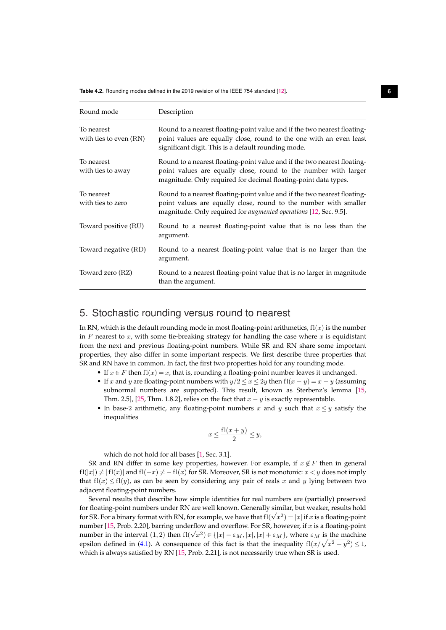<span id="page-6-0"></span>**Table 4.2.** Rounding modes defined in the 2019 revision of the IEEE 754 standard [\[12\]](#page-27-11). **6**

<span id="page-6-1"></span>

| Round mode                             | Description                                                                                                                                                                                                              |
|----------------------------------------|--------------------------------------------------------------------------------------------------------------------------------------------------------------------------------------------------------------------------|
| To nearest<br>with ties to even $(RN)$ | Round to a nearest floating-point value and if the two nearest floating-<br>point values are equally close, round to the one with an even least<br>significant digit. This is a default rounding mode.                   |
| To nearest<br>with ties to away        | Round to a nearest floating-point value and if the two nearest floating-<br>point values are equally close, round to the number with larger<br>magnitude. Only required for decimal floating-point data types.           |
| To nearest<br>with ties to zero        | Round to a nearest floating-point value and if the two nearest floating-<br>point values are equally close, round to the number with smaller<br>magnitude. Only required for <i>augmented operations</i> [12, Sec. 9.5]. |
| Toward positive (RU)                   | Round to a nearest floating-point value that is no less than the<br>argument.                                                                                                                                            |
| Toward negative (RD)                   | Round to a nearest floating-point value that is no larger than the<br>argument.                                                                                                                                          |
| Toward zero (RZ)                       | Round to a nearest floating-point value that is no larger in magnitude<br>than the argument.                                                                                                                             |

## 5. Stochastic rounding versus round to nearest

In RN, which is the default rounding mode in most floating-point arithmetics,  $f(x)$  is the number in  $F$  nearest to  $x$ , with some tie-breaking strategy for handling the case where  $x$  is equidistant from the next and previous floating-point numbers. While SR and RN share some important properties, they also differ in some important respects. We first describe three properties that SR and RN have in common. In fact, the first two properties hold for any rounding mode.

- If  $x \in F$  then  $f(x) = x$ , that is, rounding a floating-point number leaves it unchanged.
- If x and y are floating-point numbers with  $y/2 \le x \le 2y$  then  $f(x y) = x y$  (assuming subnormal numbers are supported). This result, known as Sterbenz's lemma [\[15,](#page-28-1) Thm. 2.5], [\[25,](#page-28-11) Thm. 1.8.2], relies on the fact that  $x - y$  is exactly representable.
- In base-2 arithmetic, any floating-point numbers x and y such that  $x \leq y$  satisfy the inequalities

$$
x\leq \frac{{\rm{f}}{\rm{l}}(x+y)}{2}\leq y,
$$

which do not hold for all bases [\[1,](#page-27-0) Sec. 3.1].

SR and RN differ in some key properties, however. For example, if  $x \notin F$  then in general  $f(x|y) \neq |f(x)|$  and  $f(x) \neq -f(x)$  for SR. Moreover, SR is not monotonic:  $x < y$  does not imply that  $f(x) \leq f(x)$ , as can be seen by considering any pair of reals x and y lying between two adjacent floating-point numbers.

Several results that describe how simple identities for real numbers are (partially) preserved for floating-point numbers under RN are well known. Generally similar, but weaker, results hold for floating-point numbers under KIV are well known. Generally similar, but weaker, results hold<br>for SR. For a binary format with RN, for example, we have that fl $(\sqrt{x^2})=|x|$  if x is a floating-point number [\[15,](#page-28-1) Prob. 2.20], barring underflow and overflow. For SR, however, if  $x$  is a floating-point number [15, Frob. 2.20], barring underliow and overhow. For SK, however, if x is a hoating-point<br>number in the interval  $(1, 2)$  then  $f1(\sqrt{x^2}) \in \{ |x| - \varepsilon_M, |x|, |x| + \varepsilon_M \}$ , where  $\varepsilon_M$  is the machine epsilon defined in [\(4.1\)](#page-5-1). A consequence of this fact is that the inequality  $f$ l $\left(x/\sqrt{x^2 + y^2}\right) \le 1$ , which is always satisfied by RN [\[15,](#page-28-1) Prob. 2.21], is not necessarily true when SR is used.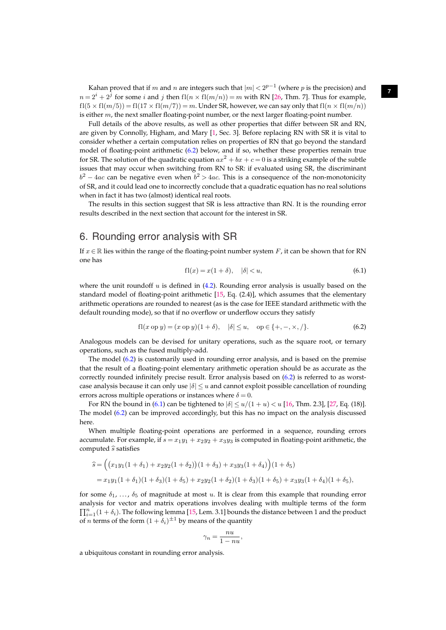Kahan proved that if  $m$  and  $n$  are integers such that  $|m| < 2^{p-1}$  (where  $p$  is the precision) and  $n = 2^{i} + 2^{j}$  for some i and j then  $fl(n \times fl(m/n)) = m$  with RN [\[26,](#page-28-12) Thm. 7]. Thus for example,  $f1(5 \times f1(m/5)) = f1(17 \times f1(m/7)) = m$ . Under SR, however, we can say only that  $f1(n \times f1(m/n))$ is either  $m$ , the next smaller floating-point number, or the next larger floating-point number.

<span id="page-7-3"></span>Full details of the above results, as well as other properties that differ between SR and RN, are given by Connolly, Higham, and Mary [\[1,](#page-27-0) Sec. 3]. Before replacing RN with SR it is vital to consider whether a certain computation relies on properties of RN that go beyond the standard model of floating-point arithmetic [\(6.2\)](#page-7-1) below, and if so, whether these properties remain true for SR. The solution of the quadratic equation  $ax^2 + bx + c = 0$  is a striking example of the subtle issues that may occur when switching from RN to SR: if evaluated using SR, the discriminant  $b^2 - 4ac$  can be negative even when  $b^2 > 4ac$ . This is a consequence of the non-monotonicity of SR, and it could lead one to incorrectly conclude that a quadratic equation has no real solutions when in fact it has two (almost) identical real roots.

The results in this section suggest that SR is less attractive than RN. It is the rounding error results described in the next section that account for the interest in SR.

## <span id="page-7-0"></span>6. Rounding error analysis with SR

If  $x \in \mathbb{R}$  lies within the range of the floating-point number system F, it can be shown that for RN one has

<span id="page-7-2"></span>
$$
f l(x) = x(1 + \delta), \quad |\delta| < u,\tag{6.1}
$$

where the unit roundoff  $u$  is defined in [\(4.2\)](#page-5-2). Rounding error analysis is usually based on the standard model of floating-point arithmetic [\[15,](#page-28-1) Eq. (2.4)], which assumes that the elementary arithmetic operations are rounded to nearest (as is the case for IEEE standard arithmetic with the default rounding mode), so that if no overflow or underflow occurs they satisfy

<span id="page-7-1"></span>
$$
f l(x \text{ op } y) = (x \text{ op } y)(1 + \delta), \quad |\delta| \le u, \quad \text{op} \in \{+, -, \times, / \}.
$$
 (6.2)

Analogous models can be devised for unitary operations, such as the square root, or ternary operations, such as the fused multiply-add.

The model [\(6.2\)](#page-7-1) is customarily used in rounding error analysis, and is based on the premise that the result of a floating-point elementary arithmetic operation should be as accurate as the correctly rounded infinitely precise result. Error analysis based on [\(6.2\)](#page-7-1) is referred to as worstcase analysis because it can only use  $|\delta| \le u$  and cannot exploit possible cancellation of rounding errors across multiple operations or instances where  $\delta = 0$ .

For RN the bound in [\(6.1\)](#page-7-2) can be tightened to  $|\delta| \le u/(1+u) < u$  [\[16,](#page-28-2) Thm. 2.3], [\[27,](#page-28-13) Eq. (18)]. The model [\(6.2\)](#page-7-1) can be improved accordingly, but this has no impact on the analysis discussed here.

When multiple floating-point operations are performed in a sequence, rounding errors accumulate. For example, if  $s = x_1y_1 + x_2y_2 + x_3y_3$  is computed in floating-point arithmetic, the computed  $\hat{s}$  satisfies

$$
\hat{s} = ((x_1y_1(1+\delta_1) + x_2y_2(1+\delta_2))(1+\delta_3) + x_3y_3(1+\delta_4))(1+\delta_5)
$$
  
=  $x_1y_1(1+\delta_1)(1+\delta_3)(1+\delta_5) + x_2y_2(1+\delta_2)(1+\delta_3)(1+\delta_5) + x_3y_3(1+\delta_4)(1+\delta_5),$ 

for some  $\delta_1$ , ...,  $\delta_5$  of magnitude at most u. It is clear from this example that rounding error analysis for vector and matrix operations involves dealing with multiple terms of the form  $\prod_{i=1}^{n} (1 + \delta_i)$ . The following lemma [\[15,](#page-28-1) Lem. 3.1] bounds the distance between 1 and the product of *n* terms of the form  $(1 + \delta_i)^{\pm 1}$  by means of the quantity

$$
\gamma_n = \frac{nu}{1 - nu},
$$

a ubiquitous constant in rounding error analysis.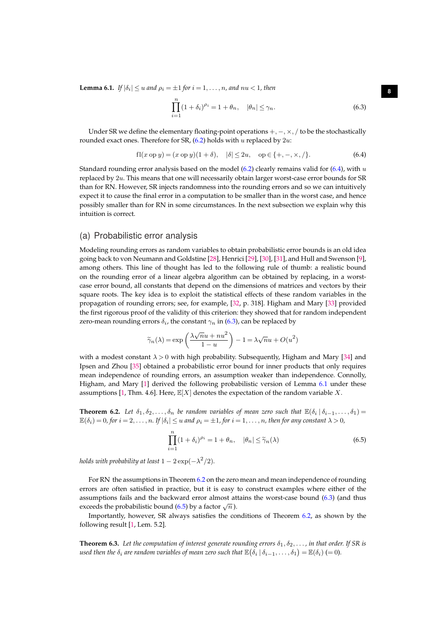<span id="page-8-2"></span>**Lemma 6.1.** *If*  $|\delta_i| \le u$  and  $\rho_i = \pm 1$  for  $i = 1, \ldots, n$ , and  $nu < 1$ , then

<span id="page-8-1"></span>
$$
\prod_{i=1}^{n} (1 + \delta_i)^{\rho_i} = 1 + \theta_n, \quad |\theta_n| \le \gamma_n.
$$
\n(6.3)

Under SR we define the elementary floating-point operations  $+$ ,  $-$ ,  $\times$ ,  $/$  to be the stochastically rounded exact ones. Therefore for SR,  $(6.2)$  holds with u replaced by  $2u$ :

<span id="page-8-6"></span><span id="page-8-0"></span>
$$
f l(x \text{ op } y) = (x \text{ op } y)(1 + \delta), \quad |\delta| \le 2u, \quad \text{op} \in \{+, -, \times, /\}.
$$
 (6.4)

Standard rounding error analysis based on the model  $(6.2)$  clearly remains valid for  $(6.4)$ , with u replaced by 2u. This means that one will necessarily obtain larger worst-case error bounds for SR than for RN. However, SR injects randomness into the rounding errors and so we can intuitively expect it to cause the final error in a computation to be smaller than in the worst case, and hence possibly smaller than for RN in some circumstances. In the next subsection we explain why this intuition is correct.

#### <span id="page-8-5"></span>(a) Probabilistic error analysis

Modeling rounding errors as random variables to obtain probabilistic error bounds is an old idea going back to von Neumann and Goldstine [\[28\]](#page-28-14), Henrici [\[29\]](#page-28-15), [\[30\]](#page-28-16), [\[31\]](#page-28-17), and Hull and Swenson [\[9\]](#page-27-8), among others. This line of thought has led to the following rule of thumb: a realistic bound on the rounding error of a linear algebra algorithm can be obtained by replacing, in a worstcase error bound, all constants that depend on the dimensions of matrices and vectors by their square roots. The key idea is to exploit the statistical effects of these random variables in the propagation of rounding errors; see, for example, [\[32,](#page-28-18) p. 318]. Higham and Mary [\[33\]](#page-28-19) provided the first rigorous proof of the validity of this criterion: they showed that for random independent zero-mean rounding errors  $\delta_i$ , the constant  $\gamma_n$  in [\(6.3\)](#page-8-1), can be replaced by

$$
\widetilde{\gamma}_n(\lambda)=\exp\left(\frac{\lambda\sqrt{n}u+nu^2}{1-u}\right)-1=\lambda\sqrt{n}u+O(u^2)
$$

with a modest constant  $\lambda > 0$  with high probability. Subsequently, Higham and Mary [\[34\]](#page-28-20) and Ipsen and Zhou [\[35\]](#page-28-21) obtained a probabilistic error bound for inner products that only requires mean independence of rounding errors, an assumption weaker than independence. Connolly, Higham, and Mary [\[1\]](#page-27-0) derived the following probabilistic version of Lemma [6.1](#page-8-2) under these assumptions [\[1,](#page-27-0) Thm. 4.6]. Here,  $\mathbb{E}[X]$  denotes the expectation of the random variable X.

<span id="page-8-3"></span>**Theorem 6.2.** Let  $\delta_1, \delta_2, \ldots, \delta_n$  be random variables of mean zero such that  $\mathbb{E}(\delta_i \mid \delta_{i-1}, \ldots, \delta_1)$  $\mathbb{E}(\delta_i) = 0$ , for  $i = 2, \ldots, n$ . If  $|\delta_i| \le u$  and  $\rho_i = \pm 1$ , for  $i = 1, \ldots, n$ , then for any constant  $\lambda > 0$ ,

<span id="page-8-4"></span>
$$
\prod_{i=1}^{n} (1 + \delta_i)^{\rho_i} = 1 + \theta_n, \quad |\theta_n| \le \tilde{\gamma}_n(\lambda)
$$
\n(6.5)

*holds with probability at least*  $1-2\exp(-\lambda^2/2)$ *.* 

For RN the assumptions in Theorem [6.2](#page-8-3) on the zero mean and mean independence of rounding errors are often satisfied in practice, but it is easy to construct examples where either of the assumptions fails and the backward error almost attains the worst-case bound [\(6.3\)](#page-8-1) (and thus exceeds the probabilistic bound [\(6.5\)](#page-8-4) by a factor  $\sqrt{n}$ ).

Importantly, however, SR always satisfies the conditions of Theorem [6.2,](#page-8-3) as shown by the following result [\[1,](#page-27-0) Lem. 5.2].

**Theorem 6.3.** Let the computation of interest generate rounding errors  $\delta_1, \delta_2, \ldots$ , in that order. If SR is used then the  $\delta_i$  are random variables of mean zero such that  $\mathbb{E}\big(\delta_i\,|\,\delta_{i-1},\ldots,\delta_1\big)=\mathbb{E}(\delta_i)\,(=0)$ .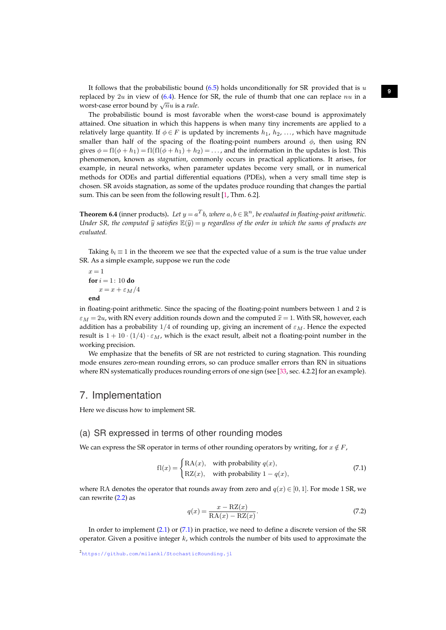It follows that the probabilistic bound  $(6.5)$  holds unconditionally for SR provided that is u replaced by 2u in view of [\(6.4\)](#page-8-0). Hence for SR, the rule of thumb that one can replace nu in a worst-case error bound by  $\sqrt{n}u$  is a *rule*.

<span id="page-9-5"></span>The probabilistic bound is most favorable when the worst-case bound is approximately attained. One situation in which this happens is when many tiny increments are applied to a relatively large quantity. If  $\phi \in F$  is updated by increments  $h_1, h_2, \ldots$ , which have magnitude smaller than half of the spacing of the floating-point numbers around  $\phi$ , then using RN gives  $\phi = f(\phi + h_1) = f(f(\phi + h_1) + h_2) = \dots$ , and the information in the updates is lost. This phenomenon, known as *stagnation*, commonly occurs in practical applications. It arises, for example, in neural networks, when parameter updates become very small, or in numerical methods for ODEs and partial differential equations (PDEs), when a very small time step is chosen. SR avoids stagnation, as some of the updates produce rounding that changes the partial sum. This can be seen from the following result [\[1,](#page-27-0) Thm. 6.2].

**Theorem 6.4** (inner products). Let  $y = a^Tb$ , where  $a, b \in \mathbb{R}^n$ , be evaluated in floating-point arithmetic. *Under SR, the computed*  $\hat{y}$  *satisfies*  $\mathbb{E}(\hat{y}) = y$  *regardless of the order in which the sums of products are evaluated.*

Taking  $b_i \equiv 1$  in the theorem we see that the expected value of a sum is the true value under SR. As a simple example, suppose we run the code

 $x = 1$ **for**  $i = 1: 10$  **do**  $x = x + \varepsilon_M/4$ **end**

in floating-point arithmetic. Since the spacing of the floating-point numbers between 1 and 2 is  $\varepsilon_M = 2u$ , with RN every addition rounds down and the computed  $\hat{x} = 1$ . With SR, however, each addition has a probability  $1/4$  of rounding up, giving an increment of  $\varepsilon_M$ . Hence the expected result is  $1 + 10 \cdot (1/4) \cdot \varepsilon_M$ , which is the exact result, albeit not a floating-point number in the working precision.

We emphasize that the benefits of SR are not restricted to curing stagnation. This rounding mode ensures zero-mean rounding errors, so can produce smaller errors than RN in situations where RN systematically produces rounding errors of one sign (see [\[33,](#page-28-19) sec. 4.2.2] for an example).

## <span id="page-9-0"></span>7. Implementation

Here we discuss how to implement SR.

### <span id="page-9-3"></span>(a) SR expressed in terms of other rounding modes

We can express the SR operator in terms of other rounding operators by writing, for  $x \notin F$ ,

<span id="page-9-1"></span>
$$
fl(x) = \begin{cases} RA(x), & \text{with probability } q(x), \\ RZ(x), & \text{with probability } 1 - q(x), \end{cases}
$$
 (7.1)

where RA denotes the operator that rounds away from zero and  $q(x) \in [0, 1]$ . For mode 1 SR, we can rewrite [\(2.2\)](#page-2-2) as

<span id="page-9-4"></span>
$$
q(x) = \frac{x - \mathcal{R}Z(x)}{\mathcal{R}A(x) - \mathcal{R}Z(x)}.
$$
\n
$$
(7.2)
$$

<span id="page-9-2"></span>In order to implement [\(2.1\)](#page-2-1) or [\(7.1\)](#page-9-1) in practice, we need to define a discrete version of the SR operator. Given a positive integer  $k$ , which controls the number of bits used to approximate the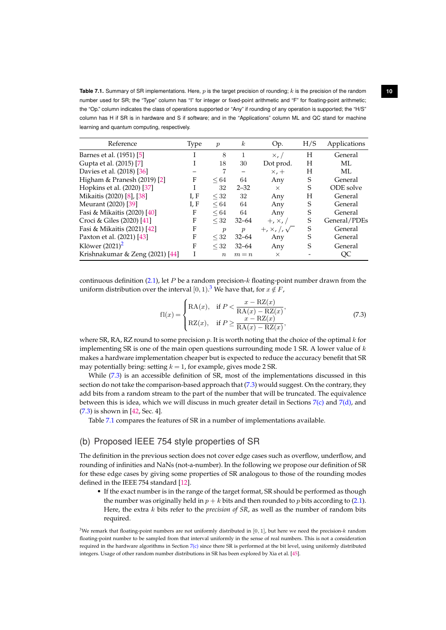<span id="page-10-2"></span>**Table 7.1.** Summary of SR implementations. Here, p is the target precision of rounding; k is the precision of the random **10** number used for SR; the "Type" column has "I" for integer or fixed-point arithmetic and "F" for floating-point arithmetic; the "Op." column indicates the class of operations supported or "Any" if rounding of any operation is supported; the "H/S" column has H if SR is in hardware and S if software; and in the "Applications" column ML and QC stand for machine learning and quantum computing, respectively.

<span id="page-10-4"></span>

| Reference                       | Type | $\boldsymbol{p}$ | $\boldsymbol{k}$ | Op.                     | H/S | Applications |
|---------------------------------|------|------------------|------------------|-------------------------|-----|--------------|
| Barnes et al. (1951) [5]        |      | 8                | 1                | $\times$ , /            | H   | General      |
| Gupta et al. (2015) [7]         |      | 18               | 30               | Dot prod.               | H   | ML           |
| Davies et al. (2018) [36]       |      |                  |                  | $\times$ , +            | H   | ML           |
| Higham & Pranesh $(2019)$ [2]   | F    | $\leq 64$        | 64               | Any                     | S   | General      |
| Hopkins et al. (2020) [37]      |      | 32               | $2 - 32$         | $\times$                | S   | ODE solve    |
| Mikaitis (2020) [8], [38]       | I, F | $<$ 32           | 32               | Any                     | H   | General      |
| Meurant (2020) [39]             | I, F | $\leq 64$        | 64               | Any                     | S   | General      |
| Fasi & Mikaitis (2020) [40]     | F    | $\leq 64$        | 64               | Any                     | S   | General      |
| Croci & Giles (2020) [41]       | F    | $<$ 32           | $32 - 64$        | $+, x, /$               | S   | General/PDEs |
| Fasi & Mikaitis (2021) [42]     | F    | $\boldsymbol{p}$ | $\boldsymbol{p}$ | $+, \times, /, \sqrt{}$ | S   | General      |
| Paxton et al. (2021) [43]       | F    | $<$ 32           | $32 - 64$        | Any                     | S   | General      |
| Klöwer $(2021)^2$               | F    | $\leq$ 32        | $32 - 64$        | Any                     | S   | General      |
| Krishnakumar & Zeng (2021) [44] |      | $\boldsymbol{n}$ | $m = n$          | $\times$                |     | ОC           |

continuous definition [\(2.1\)](#page-2-1), let P be a random precision- $k$  floating-point number drawn from the uniform distribution over the interval  $[0,1)$ .<sup>[3](#page-10-0)</sup> We have that, for  $x \notin F$ ,

<span id="page-10-1"></span>
$$
fl(x) = \begin{cases} RA(x), & \text{if } P < \frac{x - RZ(x)}{RA(x) - RZ(x)}, \\ RZ(x), & \text{if } P \ge \frac{x - RZ(x)}{RA(x) - RZ(x)}, \end{cases}
$$
(7.3)

where SR, RA, RZ round to some precision  $p$ . It is worth noting that the choice of the optimal  $k$  for implementing SR is one of the main open questions surrounding mode 1 SR. A lower value of  $k$ makes a hardware implementation cheaper but is expected to reduce the accuracy benefit that SR may potentially bring: setting  $k = 1$ , for example, gives mode 2 SR.

While [\(7.3\)](#page-10-1) is an accessible definition of SR, most of the implementations discussed in this section do not take the comparison-based approach that [\(7.3\)](#page-10-1) would suggest. On the contrary, they add bits from a random stream to the part of the number that will be truncated. The equivalence between this is idea, which we will discuss in much greater detail in Sections  $7(c)$  $7(c)$  and  $7(d)$ , and [\(7.3\)](#page-10-1) is shown in [\[42,](#page-29-3) Sec. 4].

Table [7.1](#page-10-2) compares the features of SR in a number of implementations available.

## <span id="page-10-3"></span>(b) Proposed IEEE 754 style properties of SR

The definition in the previous section does not cover edge cases such as overflow, underflow, and rounding of infinities and NaNs (not-a-number). In the following we propose our definition of SR for these edge cases by giving some properties of SR analogous to those of the rounding modes defined in the IEEE 754 standard [\[12\]](#page-27-11).

• If the exact number is in the range of the target format, SR should be performed as though the number was originally held in  $p + k$  bits and then rounded to p bits according to [\(2.1\)](#page-2-1). Here, the extra k bits refer to the *precision of SR*, as well as the number of random bits required.

<span id="page-10-0"></span> $3$ We remark that floating-point numbers are not uniformly distributed in [0, 1], but here we need the precision- $k$  random floating-point number to be sampled from that interval uniformly in the sense of real numbers. This is not a consideration required in the hardware algorithms in Section  $7(c)$  $7(c)$  since there SR is performed at the bit level, using uniformly distributed integers. Usage of other random number distributions in SR has been explored by Xia et al. [\[45\]](#page-29-6).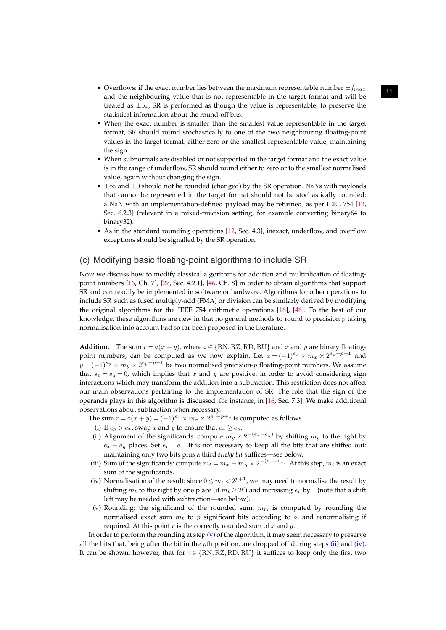- Overflows: if the exact number lies between the maximum representable number  $\pm f_{max}$ and the neighbouring value that is not representable in the target format and will be treated as ±∞, SR is performed as though the value is representable, to preserve the statistical information about the round-off bits.
- <span id="page-11-4"></span>• When the exact number is smaller than the smallest value representable in the target format, SR should round stochastically to one of the two neighbouring floating-point values in the target format, either zero or the smallest representable value, maintaining the sign.
- When subnormals are disabled or not supported in the target format and the exact value is in the range of underflow, SR should round either to zero or to the smallest normalised value, again without changing the sign.
- $\pm \infty$  and  $\pm 0$  should not be rounded (changed) by the SR operation. NaNs with payloads that cannot be represented in the target format should not be stochastically rounded: a NaN with an implementation-defined payload may be returned, as per IEEE 754 [\[12,](#page-27-11) Sec. 6.2.3] (relevant in a mixed-precision setting, for example converting binary64 to binary32).
- As in the standard rounding operations [\[12,](#page-27-11) Sec. 4.3], inexact, underflow, and overflow exceptions should be signalled by the SR operation.

### <span id="page-11-0"></span>(c) Modifying basic floating-point algorithms to include SR

Now we discuss how to modify classical algorithms for addition and multiplication of floatingpoint numbers [\[16,](#page-28-2) Ch. 7], [\[27,](#page-28-13) Sec. 4.2.1], [\[46,](#page-29-7) Ch. 8] in order to obtain algorithms that support SR and can readily be implemented in software or hardware. Algorithms for other operations to include SR such as fused multiply-add (FMA) or division can be similarly derived by modifying the original algorithms for the IEEE 754 arithmetic operations [\[16\]](#page-28-2), [\[46\]](#page-29-7). To the best of our knowledge, these algorithms are new in that no general methods to round to precision  $p$  taking normalisation into account had so far been proposed in the literature.

**Addition.** The sum  $r = o(x + y)$ , where  $o \in \{RN, RZ, RD, RU\}$  and x and y are binary floatingpoint numbers, can be computed as we now explain. Let  $x = (-1)^{s_x} \times m_x \times 2^{e_x-p+1}$  and  $y = (-1)^{s_y} \times m_y \times 2^{e_y - p + 1}$  be two normalised precision-p floating-point numbers. We assume that  $s_x = s_y = 0$ , which implies that x and y are positive, in order to avoid considering sign interactions which may transform the addition into a subtraction. This restriction does not affect our main observations pertaining to the implementation of SR. The role that the sign of the operands plays in this algorithm is discussed, for instance, in [\[16,](#page-28-2) Sec. 7.3]. We make additional observations about subtraction when necessary.

- <span id="page-11-2"></span>The sum  $r = \circ(x+y) = (-1)^{s_r} \times m_r \times 2^{e_r-p+1}$  is computed as follows.
	- (i) If  $e_y > e_x$ , swap x and y to ensure that  $e_x \ge e_y$ .
	- (ii) Alignment of the significands: compute  $m_y \times 2^{-(e_x-e_y)}$  by shifting  $m_y$  to the right by  $e_x - e_y$  places. Set  $e_r = e_x$ . It is not necessary to keep all the bits that are shifted out: maintaining only two bits plus a third *sticky bit* suffices—see below.
- (iii) Sum of the significands: compute  $m_t = m_x + m_y \times 2^{-(e_x e_y)}$ . At this step,  $m_t$  is an exact sum of the significands.
- <span id="page-11-3"></span>(iv) Normalisation of the result: since  $0 \le m_t < 2^{p+1}$ , we may need to normalise the result by shifting  $m_t$  to the right by one place (if  $m_t \geq 2^p$ ) and increasing  $e_r$  by 1 (note that a shift left may be needed with subtraction—see below).
- <span id="page-11-1"></span>(v) Rounding: the significand of the rounded sum,  $m<sub>r</sub>$ , is computed by rounding the normalised exact sum  $m_t$  to p significant bits according to  $\circ$ , and renormalising if required. At this point  $r$  is the correctly rounded sum of  $x$  and  $y$ .

In order to perform the rounding at step  $(v)$  of the algorithm, it may seem necessary to preserve all the bits that, being after the bit in the *p*th position, are dropped off during steps [\(ii\)](#page-11-2) and [\(iv\).](#page-11-3) It can be shown, however, that for  $\circ \in \{RN, RZ, RD, RU\}$  it suffices to keep only the first two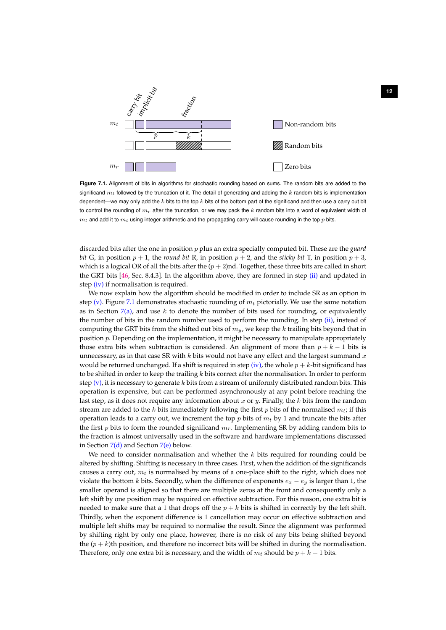<span id="page-12-1"></span>

<span id="page-12-0"></span>**Figure 7.1.** Alignment of bits in algorithms for stochastic rounding based on sums. The random bits are added to the significand  $m_t$  followed by the truncation of it. The detail of generating and adding the  $k$  random bits is implementation dependent—we may only add the  $k$  bits to the top  $k$  bits of the bottom part of the significand and then use a carry out bit to control the rounding of  $m<sub>r</sub>$  after the truncation, or we may pack the k random bits into a word of equivalent width of  $m_t$  and add it to  $m_t$  using integer arithmetic and the propagating carry will cause rounding in the top p bits.

discarded bits after the one in position p plus an extra specially computed bit. These are the *guard bit* G, in position  $p + 1$ , the *round bit* R, in position  $p + 2$ , and the *sticky bit* T, in position  $p + 3$ , which is a logical OR of all the bits after the  $(p + 2)$ nd. Together, these three bits are called in short the GRT bits [\[46,](#page-29-7) Sec. 8.4.3]. In the algorithm above, they are formed in step [\(ii\)](#page-11-2) and updated in step [\(iv\)](#page-11-3) if normalisation is required.

We now explain how the algorithm should be modified in order to include SR as an option in step [\(v\).](#page-11-1) Figure [7.1](#page-12-0) demonstrates stochastic rounding of  $m_t$  pictorially. We use the same notation as in Section [7](#page-9-0)[\(a\),](#page-9-3) and use k to denote the number of bits used for rounding, or equivalently the number of bits in the random number used to perform the rounding. In step [\(ii\),](#page-11-2) instead of computing the GRT bits from the shifted out bits of  $m_y$ , we keep the k trailing bits beyond that in position  $p$ . Depending on the implementation, it might be necessary to manipulate appropriately those extra bits when subtraction is considered. An alignment of more than  $p + k - 1$  bits is unnecessary, as in that case SR with  $k$  bits would not have any effect and the largest summand  $x$ would be returned unchanged. If a shift is required in step [\(iv\),](#page-11-3) the whole  $p + k$ -bit significand has to be shifted in order to keep the trailing  $k$  bits correct after the normalisation. In order to perform step  $(v)$ , it is necessary to generate k bits from a stream of uniformly distributed random bits. This operation is expensive, but can be performed asynchronously at any point before reaching the last step, as it does not require any information about x or y. Finally, the k bits from the random stream are added to the k bits immediately following the first p bits of the normalised  $m_t$ ; if this operation leads to a carry out, we increment the top  $p$  bits of  $m_t$  by 1 and truncate the bits after the first p bits to form the rounded significand  $m_r$ . Implementing SR by adding random bits to the fraction is almost universally used in the software and hardware implementations discussed in Section  $7(d)$  $7(d)$  and Section  $7(e)$  $7(e)$  below.

We need to consider normalisation and whether the  $k$  bits required for rounding could be altered by shifting. Shifting is necessary in three cases. First, when the addition of the significands causes a carry out,  $m_t$  is normalised by means of a one-place shift to the right, which does not violate the bottom k bits. Secondly, when the difference of exponents  $e_x - e_y$  is larger than 1, the smaller operand is aligned so that there are multiple zeros at the front and consequently only a left shift by one position may be required on effective subtraction. For this reason, one extra bit is needed to make sure that a 1 that drops off the  $p + k$  bits is shifted in correctly by the left shift. Thirdly, when the exponent difference is 1 cancellation may occur on effective subtraction and multiple left shifts may be required to normalise the result. Since the alignment was performed by shifting right by only one place, however, there is no risk of any bits being shifted beyond the  $(p + k)$ th position, and therefore no incorrect bits will be shifted in during the normalisation. Therefore, only one extra bit is necessary, and the width of  $m_t$  should be  $p + k + 1$  bits.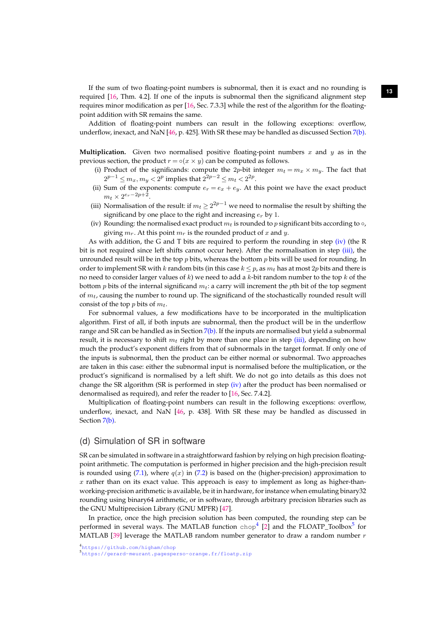**<sup>13</sup>** If the sum of two floating-point numbers is subnormal, then it is exact and no rounding is required [\[16,](#page-28-2) Thm. 4.2]. If one of the inputs is subnormal then the significand alignment step requires minor modification as per [\[16,](#page-28-2) Sec. 7.3.3] while the rest of the algorithm for the floatingpoint addition with SR remains the same.

Addition of floating-point numbers can result in the following exceptions: overflow, underflow, inexact, and NaN [\[46,](#page-29-7) p. 425]. With SR these may be handled as discussed Section [7](#page-9-0)[\(b\).](#page-10-3)

**Multiplication.** Given two normalised positive floating-point numbers  $x$  and  $y$  as in the previous section, the product  $r = o(x \times y)$  can be computed as follows.

- <span id="page-13-5"></span>(i) Product of the significands: compute the 2p-bit integer  $m_t = m_x \times m_y$ . The fact that  $2^{p-1} \leq m_x, m_y < 2^p$  implies that  $2^{2p-2} \leq m_t < 2^{2p}$ .
- (ii) Sum of the exponents: compute  $e_r = e_x + e_y$ . At this point we have the exact product  $m_t \times 2^{e_r - 2p + 2}.$
- <span id="page-13-2"></span>(iii) Normalisation of the result: if  $m_t \geq 2^{2p-1}$  we need to normalise the result by shifting the significand by one place to the right and increasing  $e_r$  by 1.
- <span id="page-13-1"></span>(iv) Rounding: the normalised exact product  $m_t$  is rounded to p significant bits according to  $\circ$ , giving  $m_r$ . At this point  $m_r$  is the rounded product of x and y.

As with addition, the G and T bits are required to perform the rounding in step [\(iv\)](#page-13-1) (the R bit is not required since left shifts cannot occur here). After the normalisation in step [\(iii\),](#page-13-2) the unrounded result will be in the top  $p$  bits, whereas the bottom  $p$  bits will be used for rounding. In order to implement SR with k random bits (in this case  $k < p$ , as  $m_t$  has at most 2p bits and there is no need to consider larger values of k) we need to add a k-bit random number to the top k of the bottom p bits of the internal significand  $m_t$ : a carry will increment the pth bit of the top segment of  $m_t$ , causing the number to round up. The significand of the stochastically rounded result will consist of the top p bits of  $m_t$ .

For subnormal values, a few modifications have to be incorporated in the multiplication algorithm. First of all, if both inputs are subnormal, then the product will be in the underflow range and SR can be handled as in Section [7](#page-9-0)[\(b\).](#page-10-3) If the inputs are normalised but yield a subnormal result, it is necessary to shift  $m_t$  right by more than one place in step [\(iii\),](#page-13-2) depending on how much the product's exponent differs from that of subnormals in the target format. If only one of the inputs is subnormal, then the product can be either normal or subnormal. Two approaches are taken in this case: either the subnormal input is normalised before the multiplication, or the product's significand is normalised by a left shift. We do not go into details as this does not change the SR algorithm (SR is performed in step [\(iv\)](#page-13-1) after the product has been normalised or denormalised as required), and refer the reader to [\[16,](#page-28-2) Sec. 7.4.2].

Multiplication of floating-point numbers can result in the following exceptions: overflow, underflow, inexact, and NaN [\[46,](#page-29-7) p. 438]. With SR these may be handled as discussed in Section [7](#page-9-0)[\(b\).](#page-10-3)

#### <span id="page-13-0"></span>(d) Simulation of SR in software

SR can be simulated in software in a straightforward fashion by relying on high precision floatingpoint arithmetic. The computation is performed in higher precision and the high-precision result is rounded using [\(7.1\)](#page-9-1), where  $q(x)$  in [\(7.2\)](#page-9-4) is based on the (higher-precision) approximation to  $x$  rather than on its exact value. This approach is easy to implement as long as higher-thanworking-precision arithmetic is available, be it in hardware, for instance when emulating binary32 rounding using binary64 arithmetic, or in software, through arbitrary precision libraries such as the GNU Multiprecision Library (GNU MPFR) [\[47\]](#page-29-8).

In practice, once the high precision solution has been computed, the rounding step can be performed in several ways. The MATLAB function  $\text{chop}^4$  $\text{chop}^4$  [\[2\]](#page-27-1) and the FLOATP\_Toolbox<sup>[5](#page-13-4)</sup> for MATLAB [\[39\]](#page-29-0) leverage the MATLAB random number generator to draw a random number  $r$ 

<span id="page-13-4"></span><span id="page-13-3"></span><sup>5</sup><https://gerard-meurant.pagesperso-orange.fr/floatp.zip>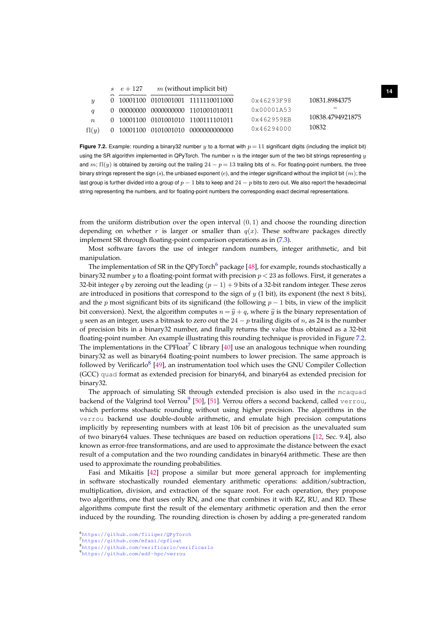|                           | $s \quad e+127$ | $m$ (without implicit bit) |                                     |                       |                  |
|---------------------------|-----------------|----------------------------|-------------------------------------|-----------------------|------------------|
| $\boldsymbol{\mathit{u}}$ |                 |                            | 0 10001100 0101001001 1111110011000 | 0x46293F98            | 10831.8984375    |
| $\boldsymbol{a}$          |                 |                            | 0 00000000 0000000000 1101001010011 | $0 \times 00001$ A 53 |                  |
| $n_{\rm}$                 |                 |                            | 0 10001100 0101001010 1100111101011 | 0x462959EB            | 10838.4794921875 |
| f(x)                      |                 |                            | 0 10001100 0101001010 0000000000000 | $0 \times 46294000$   | 10832            |

<span id="page-14-5"></span><span id="page-14-1"></span>**Figure 7.2.** Example: rounding a binary 32 number y to a format with  $p = 11$  significant digits (including the implicit bit) using the SR algorithm implemented in QPyTorch. The number n is the integer sum of the two bit strings representing  $y$ and m; fl(y) is obtained by zeroing out the trailing  $24 - p = 13$  trailing bits of n. For floating-point numbers, the three binary strings represent the sign  $(s)$ , the unbiased exponent  $(e)$ , and the integer significand without the implicit bit  $(m)$ ; the last group is further divided into a group of  $p - 1$  bits to keep and  $24 - p$  bits to zero out. We also report the hexadecimal string representing the numbers, and for floating-point numbers the corresponding exact decimal representations.

from the uniform distribution over the open interval  $(0, 1)$  and choose the rounding direction depending on whether r is larger or smaller than  $q(x)$ . These software packages directly implement SR through floating-point comparison operations as in [\(7.3\)](#page-10-1).

Most software favors the use of integer random numbers, integer arithmetic, and bit manipulation.

The implementation of SR in the QPyTorch<sup>[6](#page-14-0)</sup> package [\[48\]](#page-29-9), for example, rounds stochastically a binary32 number y to a floating-point format with precision  $p < 23$  as follows. First, it generates a 32-bit integer q by zeroing out the leading  $(p - 1) + 9$  bits of a 32-bit random integer. These zeros are introduced in positions that correspond to the sign of  $y$  (1 bit), its exponent (the next 8 bits), and the p most significant bits of its significand (the following  $p - 1$  bits, in view of the implicit bit conversion). Next, the algorithm computes  $n = \tilde{y} + q$ , where  $\tilde{y}$  is the binary representation of y seen as an integer, uses a bitmask to zero out the  $24 - p$  trailing digits of n, as 24 is the number of precision bits in a binary32 number, and finally returns the value thus obtained as a 32-bit floating-point number. An example illustrating this rounding technique is provided in Figure [7.2.](#page-14-1) The implementations in the CPFloat<sup>[7](#page-14-2)</sup> C library [\[40\]](#page-29-1) use an analogous technique when rounding binary32 as well as binary64 floating-point numbers to lower precision. The same approach is followed by Verificarlo<sup>[8](#page-14-3)</sup> [\[49\]](#page-29-10), an instrumentation tool which uses the GNU Compiler Collection (GCC) quad format as extended precision for binary64, and binary64 as extended precision for binary32.

The approach of simulating SR through extended precision is also used in the mcaquad backend of the Valgrind tool Verrou $^9$  $^9$  [\[50\]](#page-29-11), [\[51\]](#page-29-12). Verrou offers a second backend, called  $\,$ v $\,$ e $\,$ r $\,$ ou,  $\,$ which performs stochastic rounding without using higher precision. The algorithms in the verrou backend use double-double arithmetic, and emulate high precision computations implicitly by representing numbers with at least 106 bit of precision as the unevaluated sum of two binary64 values. These techniques are based on reduction operations [\[12,](#page-27-11) Sec. 9.4], also known as error-free transformations, and are used to approximate the distance between the exact result of a computation and the two rounding candidates in binary64 arithmetic. These are then used to approximate the rounding probabilities.

Fasi and Mikaitis [\[42\]](#page-29-3) propose a similar but more general approach for implementing in software stochastically rounded elementary arithmetic operations: addition/subtraction, multiplication, division, and extraction of the square root. For each operation, they propose two algorithms, one that uses only RN, and one that combines it with RZ, RU, and RD. These algorithms compute first the result of the elementary arithmetic operation and then the error induced by the rounding. The rounding direction is chosen by adding a pre-generated random

<span id="page-14-4"></span><span id="page-14-3"></span><span id="page-14-2"></span><span id="page-14-0"></span><sup>6</sup><https://github.com/Tiiiger/QPyTorch> <sup>7</sup><https://github.com/mfasi/cpfloat> <sup>8</sup><https://github.com/verificarlo/verificarlo> <sup>9</sup><https://github.com/edf-hpc/verrou>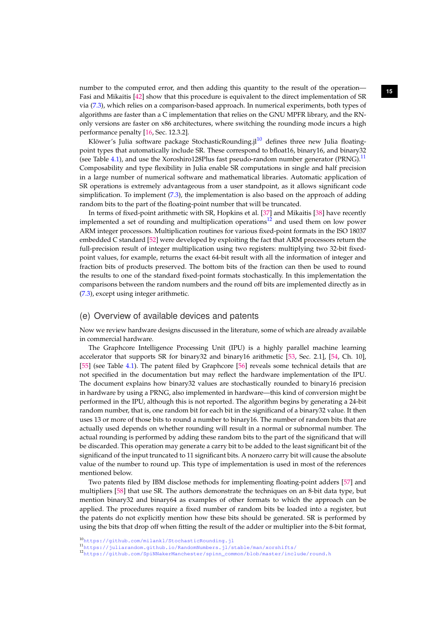number to the computed error, and then adding this quantity to the result of the operation—15 Fasi and Mikaitis [\[42\]](#page-29-3) show that this procedure is equivalent to the direct implementation of SR via [\(7.3\)](#page-10-1), which relies on a comparison-based approach. In numerical experiments, both types of algorithms are faster than a C implementation that relies on the GNU MPFR library, and the RNonly versions are faster on x86 architectures, where switching the rounding mode incurs a high performance penalty [\[16,](#page-28-2) Sec. 12.3.2].

<span id="page-15-4"></span>Klöwer's Julia software package StochasticRounding.j $l^{10}$  $l^{10}$  $l^{10}$  defines three new Julia floatingpoint types that automatically include SR. These correspond to bfloat16, binary16, and binary32 (see Table [4.1\)](#page-4-1), and use the Xoroshiro128Plus fast pseudo-random number generator (PRNG).<sup>[11](#page-15-2)</sup> Composability and type flexibility in Julia enable SR computations in single and half precision in a large number of numerical software and mathematical libraries. Automatic application of SR operations is extremely advantageous from a user standpoint, as it allows significant code simplification. To implement  $(7.3)$ , the implementation is also based on the approach of adding random bits to the part of the floating-point number that will be truncated.

In terms of fixed-point arithmetic with SR, Hopkins et al. [\[37\]](#page-28-23) and Mikaitis [\[38\]](#page-28-24) have recently implemented a set of rounding and multiplication operations $12$  and used them on low power ARM integer processors. Multiplication routines for various fixed-point formats in the ISO 18037 embedded C standard [\[52\]](#page-29-13) were developed by exploiting the fact that ARM processors return the full-precision result of integer multiplication using two registers: multiplying two 32-bit fixedpoint values, for example, returns the exact 64-bit result with all the information of integer and fraction bits of products preserved. The bottom bits of the fraction can then be used to round the results to one of the standard fixed-point formats stochastically. In this implementation the comparisons between the random numbers and the round off bits are implemented directly as in [\(7.3\)](#page-10-1), except using integer arithmetic.

#### <span id="page-15-0"></span>(e) Overview of available devices and patents

Now we review hardware designs discussed in the literature, some of which are already available in commercial hardware.

The Graphcore Intelligence Processing Unit (IPU) is a highly parallel machine learning accelerator that supports SR for binary32 and binary16 arithmetic [\[53,](#page-29-14) Sec. 2.1], [\[54,](#page-29-15) Ch. 10], [\[55\]](#page-29-16) (see Table [4.1\)](#page-4-1). The patent filed by Graphcore [\[56\]](#page-29-17) reveals some technical details that are not specified in the documentation but may reflect the hardware implementation of the IPU. The document explains how binary32 values are stochastically rounded to binary16 precision in hardware by using a PRNG, also implemented in hardware—this kind of conversion might be performed in the IPU, although this is not reported. The algorithm begins by generating a 24-bit random number, that is, one random bit for each bit in the significand of a binary32 value. It then uses 13 or more of those bits to round a number to binary16. The number of random bits that are actually used depends on whether rounding will result in a normal or subnormal number. The actual rounding is performed by adding these random bits to the part of the significand that will be discarded. This operation may generate a carry bit to be added to the least significant bit of the significand of the input truncated to 11 significant bits. A nonzero carry bit will cause the absolute value of the number to round up. This type of implementation is used in most of the references mentioned below.

Two patents filed by IBM disclose methods for implementing floating-point adders [\[57\]](#page-29-18) and multipliers [\[58\]](#page-29-19) that use SR. The authors demonstrate the techniques on an 8-bit data type, but mention binary32 and binary64 as examples of other formats to which the approach can be applied. The procedures require a fixed number of random bits be loaded into a register, but the patents do not explicitly mention how these bits should be generated. SR is performed by using the bits that drop off when fitting the result of the adder or multiplier into the 8-bit format,

<span id="page-15-1"></span><sup>10</sup><https://github.com/milankl/StochasticRounding.jl>

<span id="page-15-2"></span><sup>11</sup><https://juliarandom.github.io/RandomNumbers.jl/stable/man/xorshifts/>

<span id="page-15-3"></span><sup>12</sup>[https://github.com/SpiNNakerManchester/spinn\\_common/blob/master/include/round.h](https://github.com/SpiNNakerManchester/spinn_common/blob/master/include/round.h)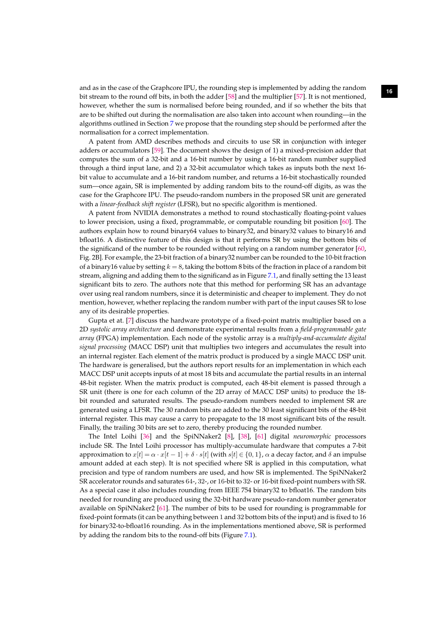**<sup>16</sup>** and as in the case of the Graphcore IPU, the rounding step is implemented by adding the random bit stream to the round off bits, in both the adder [\[58\]](#page-29-19) and the multiplier [\[57\]](#page-29-18). It is not mentioned, however, whether the sum is normalised before being rounded, and if so whether the bits that are to be shifted out during the normalisation are also taken into account when rounding—in the algorithms outlined in Section [7](#page-9-0) we propose that the rounding step should be performed after the normalisation for a correct implementation.

<span id="page-16-1"></span>A patent from AMD describes methods and circuits to use SR in conjunction with integer adders or accumulators [\[59\]](#page-29-20). The document shows the design of 1) a mixed-precision adder that computes the sum of a 32-bit and a 16-bit number by using a 16-bit random number supplied through a third input lane, and 2) a 32-bit accumulator which takes as inputs both the next 16 bit value to accumulate and a 16-bit random number, and returns a 16-bit stochastically rounded sum—once again, SR is implemented by adding random bits to the round-off digits, as was the case for the Graphcore IPU. The pseudo-random numbers in the proposed SR unit are generated with a *linear-feedback shift register* (LFSR), but no specific algorithm is mentioned.

A patent from NVIDIA demonstrates a method to round stochastically floating-point values to lower precision, using a fixed, programmable, or computable rounding bit position [\[60\]](#page-29-21). The authors explain how to round binary64 values to binary32, and binary32 values to binary16 and bfloat16. A distinctive feature of this design is that it performs SR by using the bottom bits of the significand of the number to be rounded without relying on a random number generator [\[60,](#page-29-21) Fig. 2B]. For example, the 23-bit fraction of a binary32 number can be rounded to the 10-bit fraction of a binary16 value by setting  $k = 8$ , taking the bottom 8 bits of the fraction in place of a random bit stream, aligning and adding them to the significand as in Figure [7.1,](#page-12-0) and finally setting the 13 least significant bits to zero. The authors note that this method for performing SR has an advantage over using real random numbers, since it is deterministic and cheaper to implement. They do not mention, however, whether replacing the random number with part of the input causes SR to lose any of its desirable properties.

Gupta et at. [\[7\]](#page-27-6) discuss the hardware prototype of a fixed-point matrix multiplier based on a 2D *systolic array architecture* and demonstrate experimental results from a *field-programmable gate array* (FPGA) implementation. Each node of the systolic array is a *multiply-and-accumulate digital signal processing* (MACC DSP) unit that multiplies two integers and accumulates the result into an internal register. Each element of the matrix product is produced by a single MACC DSP unit. The hardware is generalised, but the authors report results for an implementation in which each MACC DSP unit accepts inputs of at most 18 bits and accumulate the partial results in an internal 48-bit register. When the matrix product is computed, each 48-bit element is passed through a SR unit (there is one for each column of the 2D array of MACC DSP units) to produce the 18 bit rounded and saturated results. The pseudo-random numbers needed to implement SR are generated using a LFSR. The 30 random bits are added to the 30 least significant bits of the 48-bit internal register. This may cause a carry to propagate to the 18 most significant bits of the result. Finally, the trailing 30 bits are set to zero, thereby producing the rounded number.

<span id="page-16-0"></span>The Intel Loihi [\[36\]](#page-28-22) and the SpiNNaker2 [\[8\]](#page-27-7), [\[38\]](#page-28-24), [\[61\]](#page-29-22) digital *neuromorphic* processors include SR. The Intel Loihi processor has multiply-accumulate hardware that computes a 7-bit approximation to  $x[t] = \alpha \cdot x[t-1] + \delta \cdot s[t]$  (with  $s[t] \in \{0,1\}$ ,  $\alpha$  a decay factor, and  $\delta$  an impulse amount added at each step). It is not specified where SR is applied in this computation, what precision and type of random numbers are used, and how SR is implemented. The SpiNNaker2 SR accelerator rounds and saturates 64-, 32-, or 16-bit to 32- or 16-bit fixed-point numbers with SR. As a special case it also includes rounding from IEEE 754 binary32 to bfloat16. The random bits needed for rounding are produced using the 32-bit hardware pseudo-random number generator available on SpiNNaker2 [\[61\]](#page-29-22). The number of bits to be used for rounding is programmable for fixed-point formats (it can be anything between 1 and 32 bottom bits of the input) and is fixed to 16 for binary32-to-bfloat16 rounding. As in the implementations mentioned above, SR is performed by adding the random bits to the round-off bits (Figure [7.1\)](#page-12-0).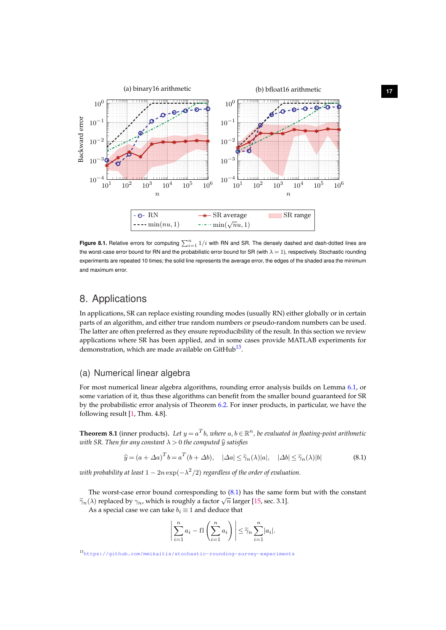<span id="page-17-3"></span>

<span id="page-17-2"></span>**Figure 8.1.** Relative errors for computing  $\sum_{i=1}^{n} 1/i$  with RN and SR. The densely dashed and dash-dotted lines are the worst-case error bound for RN and the probabilistic error bound for SR (with  $\lambda = 1$ ), respectively. Stochastic rounding experiments are repeated 10 times; the solid line represents the average error, the edges of the shaded area the minimum and maximum error.

## 8. Applications

In applications, SR can replace existing rounding modes (usually RN) either globally or in certain parts of an algorithm, and either true random numbers or pseudo-random numbers can be used. The latter are often preferred as they ensure reproducibility of the result. In this section we review applications where SR has been applied, and in some cases provide MATLAB experiments for demonstration, which are made available on GitHub<sup>[13](#page-17-0)</sup>.

#### (a) Numerical linear algebra

For most numerical linear algebra algorithms, rounding error analysis builds on Lemma [6.1,](#page-8-2) or some variation of it, thus these algorithms can benefit from the smaller bound guaranteed for SR by the probabilistic error analysis of Theorem [6.2.](#page-8-3) For inner products, in particular, we have the following result [\[1,](#page-27-0) Thm. 4.8].

**Theorem 8.1** (inner products). Let  $y = a^Tb$ , where  $a, b \in \mathbb{R}^n$ , be evaluated in floating-point arithmetic *with SR. Then for any constant*  $\lambda > 0$  *the computed*  $\hat{y}$  *satisfies* 

$$
\widehat{y} = (a + \Delta a)^T b = a^T (b + \Delta b), \quad |\Delta a| \le \widetilde{\gamma}_n(\lambda) |a|, \quad |\Delta b| \le \widetilde{\gamma}_n(\lambda) |b| \tag{8.1}
$$

with probability at least  $1 - 2n \exp(-\lambda^2/2)$  regardless of the order of evaluation.

The worst-case error bound corresponding to [\(8.1\)](#page-17-1) has the same form but with the constant  $\tilde{\gamma}_n(\lambda)$  replaced by  $\gamma_n$ , which is roughly a factor  $\sqrt{n}$  larger [\[15,](#page-28-1) sec. 3.1].

As a special case we can take  $b_i \equiv 1$  and deduce that

<span id="page-17-1"></span>
$$
\left| \sum_{i=1}^{n} a_i - \mathrm{fl} \left( \sum_{i=1}^{n} a_i \right) \right| \leq \widetilde{\gamma}_n \sum_{i=1}^{n} |a_i|.
$$

<span id="page-17-0"></span><sup>13</sup><https://github.com/mmikaitis/stochastic-rounding-survey-experiments>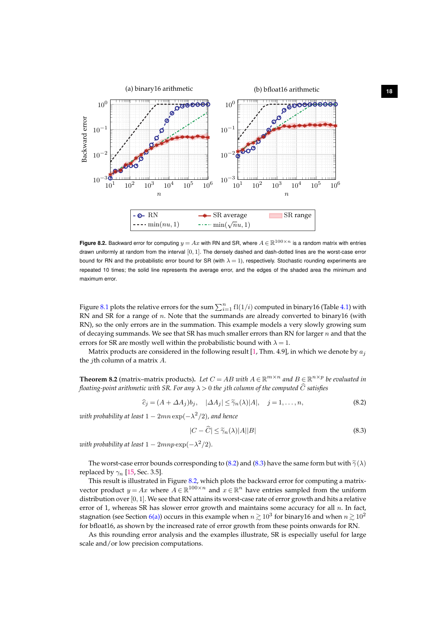<span id="page-18-3"></span>

<span id="page-18-2"></span>**Figure 8.2.** Backward error for computing  $y = Ax$  with RN and SR, where  $A \in \mathbb{R}^{100 \times n}$  is a random matrix with entries drawn uniformly at random from the interval  $[0, 1]$ . The densely dashed and dash-dotted lines are the worst-case error bound for RN and the probabilistic error bound for SR (with  $\lambda = 1$ ), respectively. Stochastic rounding experiments are repeated 10 times; the solid line represents the average error, and the edges of the shaded area the minimum and maximum error.

Figure [8.1](#page-17-2) plots the relative errors for the sum  $\sum_{i=1}^n \mathrm{fl}(1/i)$  computed in binary16 (Table [4.1\)](#page-4-1) with RN and SR for a range of n. Note that the summands are already converted to binary16 (with RN), so the only errors are in the summation. This example models a very slowly growing sum of decaying summands. We see that SR has much smaller errors than RN for larger  $n$  and that the errors for SR are mostly well within the probabilistic bound with  $\lambda = 1$ .

Matrix products are considered in the following result [\[1,](#page-27-0) Thm. 4.9], in which we denote by  $a_i$ the *j*th column of a matrix  $A$ .

**Theorem 8.2** (matrix–matrix products). Let  $C = AB$  with  $A \in \mathbb{R}^{m \times n}$  and  $B \in \mathbb{R}^{n \times p}$  be evaluated in *floating-point arithmetic with SR. For any*  $\lambda > 0$  *the jth column of the computed*  $\widehat{C}$  *satisfies* 

<span id="page-18-0"></span>
$$
\widehat{c}_j = (A + \Delta A_j)b_j, \quad |\Delta A_j| \le \widetilde{\gamma}_n(\lambda)|A|, \quad j = 1, \dots, n,
$$
\n(8.2)

*with probability at least* 1 − 2mn exp(−λ 2 /2)*, and hence*

<span id="page-18-1"></span>
$$
|C - \widehat{C}| \le \widetilde{\gamma}_n(\lambda)|A||B| \tag{8.3}
$$

with probability at least  $1 - 2mnp\exp(-\lambda^2/2).$ 

The worst-case error bounds corresponding to [\(8.2\)](#page-18-0) and [\(8.3\)](#page-18-1) have the same form but with  $\tilde{\gamma}(\lambda)$ replaced by  $\gamma_n$  [\[15,](#page-28-1) Sec. 3.5].

This result is illustrated in Figure [8.2,](#page-18-2) which plots the backward error for computing a matrixvector product  $y = Ax$  where  $A \in \mathbb{R}^{100 \times n}$  and  $x \in \mathbb{R}^n$  have entries sampled from the uniform distribution over  $[0, 1]$ . We see that RN attains its worst-case rate of error growth and hits a relative error of 1, whereas SR has slower error growth and maintains some accuracy for all  $n$ . In fact, stagnation (see Section [6](#page-7-0)[\(a\)\)](#page-8-5) occurs in this example when  $n \gtrsim 10^3$  for binary16 and when  $n \gtrsim 10^2$ for bfloat16, as shown by the increased rate of error growth from these points onwards for RN.

As this rounding error analysis and the examples illustrate, SR is especially useful for large scale and/or low precision computations.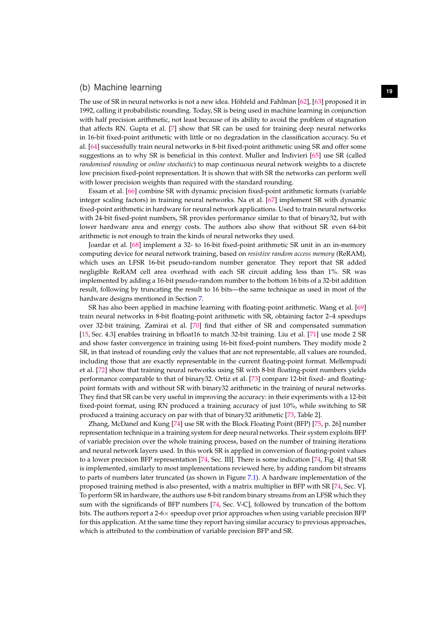## **<sup>19</sup>** (b) Machine learning

<span id="page-19-0"></span>The use of SR in neural networks is not a new idea. Höhfeld and Fahlman [\[62\]](#page-30-0), [\[63\]](#page-30-1) proposed it in 1992, calling it probabilistic rounding. Today, SR is being used in machine learning in conjunction with half precision arithmetic, not least because of its ability to avoid the problem of stagnation that affects RN. Gupta et al. [\[7\]](#page-27-6) show that SR can be used for training deep neural networks in 16-bit fixed-point arithmetic with little or no degradation in the classification accuracy. Su et al. [\[64\]](#page-30-2) successfully train neural networks in 8-bit fixed-point arithmetic using SR and offer some suggestions as to why SR is beneficial in this context. Muller and Indivieri [\[65\]](#page-30-3) use SR (called *randomised rounding* or *online stochastic*) to map continuous neural network weights to a discrete low precision fixed-point representation. It is shown that with SR the networks can perform well with lower precision weights than required with the standard rounding.

Essam et al. [\[66\]](#page-30-4) combine SR with dynamic precision fixed-point arithmetic formats (variable integer scaling factors) in training neural networks. Na et al. [\[67\]](#page-30-5) implement SR with dynamic fixed-point arithmetic in hardware for neural network applications. Used to train neural networks with 24-bit fixed-point numbers, SR provides performance similar to that of binary32, but with lower hardware area and energy costs. The authors also show that without SR even 64-bit arithmetic is not enough to train the kinds of neural networks they used.

Joardar et al. [\[68\]](#page-30-6) implement a 32- to 16-bit fixed-point arithmetic SR unit in an in-memory computing device for neural network training, based on *resistive random access memory* (ReRAM), which uses an LFSR 16-bit pseudo-random number generator. They report that SR added negligible ReRAM cell area overhead with each SR circuit adding less than 1%. SR was implemented by adding a 16-bit pseudo-random number to the bottom 16 bits of a 32-bit addition result, following by truncating the result to 16 bits—the same technique as used in most of the hardware designs mentioned in Section [7.](#page-9-0)

SR has also been applied in machine learning with floating-point arithmetic. Wang et al. [\[69\]](#page-30-7) train neural networks in 8-bit floating-point arithmetic with SR, obtaining factor 2–4 speedups over 32-bit training. Zamirai et al. [\[70\]](#page-30-8) find that either of SR and compensated summation [\[15,](#page-28-1) Sec. 4.3] enables training in bfloat16 to match 32-bit training. Liu et al. [\[71\]](#page-30-9) use mode 2 SR and show faster convergence in training using 16-bit fixed-point numbers. They modify mode 2 SR, in that instead of rounding only the values that are not representable, all values are rounded, including those that are exactly representable in the current floating-point format. Mellempudi et al. [\[72\]](#page-30-10) show that training neural networks using SR with 8-bit floating-point numbers yields performance comparable to that of binary32. Ortiz et al. [\[73\]](#page-30-11) compare 12-bit fixed- and floatingpoint formats with and without SR with binary32 arithmetic in the training of neural networks. They find that SR can be very useful in improving the accuracy: in their experiments with a 12-bit fixed-point format, using RN produced a training accuracy of just 10%, while switching to SR produced a training accuracy on par with that of binary32 arithmetic [\[73,](#page-30-11) Table 2].

Zhang, McDanel and Kung [\[74\]](#page-30-12) use SR with the Block Floating Point (BFP) [\[75,](#page-30-13) p. 26] number representation technique in a training system for deep neural networks. Their system exploits BFP of variable precision over the whole training process, based on the number of training iterations and neural network layers used. In this work SR is applied in conversion of floating-point values to a lower precision BFP representation [\[74,](#page-30-12) Sec. III]. There is some indication [\[74,](#page-30-12) Fig. 4] that SR is implemented, similarly to most implementations reviewed here, by adding random bit streams to parts of numbers later truncated (as shown in Figure [7.1\)](#page-12-0). A hardware implementation of the proposed training method is also presented, with a matrix multiplier in BFP with SR [\[74,](#page-30-12) Sec. V]. To perform SR in hardware, the authors use 8-bit random binary streams from an LFSR which they sum with the significands of BFP numbers [\[74,](#page-30-12) Sec. V-C], followed by truncation of the bottom bits. The authors report a 2-6 $\times$  speedup over prior approaches when using variable precision BFP for this application. At the same time they report having similar accuracy to previous approaches, which is attributed to the combination of variable precision BFP and SR.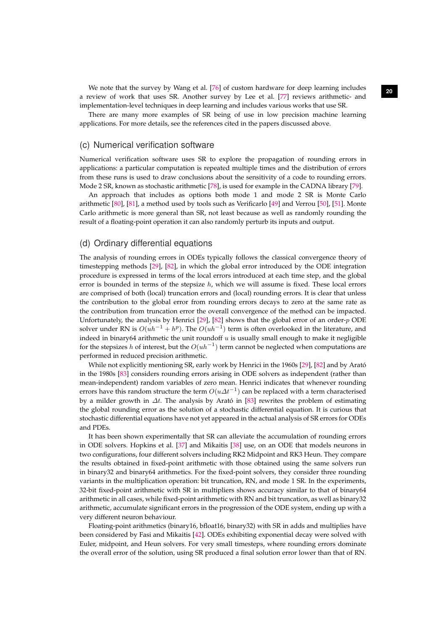We note that the survey by Wang et al. [[76\]](#page-30-14) of custom hardware for deep learning includes 20 a review of work that uses SR. Another survey by Lee et al. [\[77\]](#page-30-15) reviews arithmetic- and implementation-level techniques in deep learning and includes various works that use SR.

There are many more examples of SR being of use in low precision machine learning applications. For more details, see the references cited in the papers discussed above.

### <span id="page-20-0"></span>(c) Numerical verification software

Numerical verification software uses SR to explore the propagation of rounding errors in applications: a particular computation is repeated multiple times and the distribution of errors from these runs is used to draw conclusions about the sensitivity of a code to rounding errors. Mode 2 SR, known as stochastic arithmetic [\[78\]](#page-30-16), is used for example in the CADNA library [\[79\]](#page-30-17).

An approach that includes as options both mode 1 and mode 2 SR is Monte Carlo arithmetic [\[80\]](#page-30-18), [\[81\]](#page-30-19), a method used by tools such as Verificarlo [\[49\]](#page-29-10) and Verrou [\[50\]](#page-29-11), [\[51\]](#page-29-12). Monte Carlo arithmetic is more general than SR, not least because as well as randomly rounding the result of a floating-point operation it can also randomly perturb its inputs and output.

### (d) Ordinary differential equations

The analysis of rounding errors in ODEs typically follows the classical convergence theory of timestepping methods [\[29\]](#page-28-15), [\[82\]](#page-30-20), in which the global error introduced by the ODE integration procedure is expressed in terms of the local errors introduced at each time step, and the global error is bounded in terms of the stepsize  $h$ , which we will assume is fixed. These local errors are comprised of both (local) truncation errors and (local) rounding errors. It is clear that unless the contribution to the global error from rounding errors decays to zero at the same rate as the contribution from truncation error the overall convergence of the method can be impacted. Unfortunately, the analysis by Henrici [\[29\]](#page-28-15), [\[82\]](#page-30-20) shows that the global error of an order- $p$  ODE solver under RN is  $O(uh^{-1} + h^p)$ . The  $O(uh^{-1})$  term is often overlooked in the literature, and indeed in binary64 arithmetic the unit roundoff  $u$  is usually small enough to make it negligible for the stepsizes h of interest, but the  $O(uh^{-1})$  term cannot be neglected when computations are performed in reduced precision arithmetic.

While not explicitly mentioning SR, early work by Henrici in the 1960s [\[29\]](#page-28-15), [\[82\]](#page-30-20) and by Arató in the 1980s [\[83\]](#page-30-21) considers rounding errors arising in ODE solvers as independent (rather than mean-independent) random variables of zero mean. Henrici indicates that whenever rounding errors have this random structure the term  $O(u\varDelta t^{-1})$  can be replaced with a term characterised by a milder growth in  $\Delta t$ . The analysis by Arató in [\[83\]](#page-30-21) rewrites the problem of estimating the global rounding error as the solution of a stochastic differential equation. It is curious that stochastic differential equations have not yet appeared in the actual analysis of SR errors for ODEs and PDEs.

It has been shown experimentally that SR can alleviate the accumulation of rounding errors in ODE solvers. Hopkins et al. [\[37\]](#page-28-23) and Mikaitis [\[38\]](#page-28-24) use, on an ODE that models neurons in two configurations, four different solvers including RK2 Midpoint and RK3 Heun. They compare the results obtained in fixed-point arithmetic with those obtained using the same solvers run in binary32 and binary64 arithmetics. For the fixed-point solvers, they consider three rounding variants in the multiplication operation: bit truncation, RN, and mode 1 SR. In the experiments, 32-bit fixed-point arithmetic with SR in multipliers shows accuracy similar to that of binary64 arithmetic in all cases, while fixed-point arithmetic with RN and bit truncation, as well as binary32 arithmetic, accumulate significant errors in the progression of the ODE system, ending up with a very different neuron behaviour.

Floating-point arithmetics (binary16, bfloat16, binary32) with SR in adds and multiplies have been considered by Fasi and Mikaitis [\[42\]](#page-29-3). ODEs exhibiting exponential decay were solved with Euler, midpoint, and Heun solvers. For very small timesteps, where rounding errors dominate the overall error of the solution, using SR produced a final solution error lower than that of RN.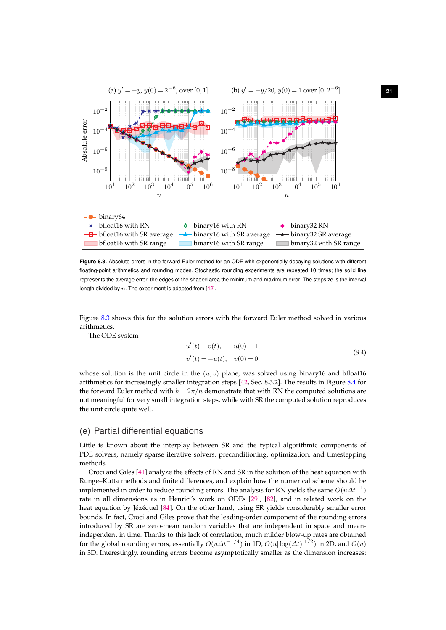<span id="page-21-2"></span>

<span id="page-21-0"></span>**Figure 8.3.** Absolute errors in the forward Euler method for an ODE with exponentially decaying solutions with different floating-point arithmetics and rounding modes. Stochastic rounding experiments are repeated 10 times; the solid line represents the average error, the edges of the shaded area the minimum and maximum error. The stepsize is the interval length divided by  $n$ . The experiment is adapted from  $[42]$ .

Figure [8.3](#page-21-0) shows this for the solution errors with the forward Euler method solved in various arithmetics.

The ODE system

<span id="page-21-1"></span>
$$
u'(t) = v(t), \t u(0) = 1,\n v'(t) = -u(t), \t v(0) = 0,
$$
\t(8.4)

whose solution is the unit circle in the  $(u, v)$  plane, was solved using binary16 and bfloat16 arithmetics for increasingly smaller integration steps [\[42,](#page-29-3) Sec. 8.3.2]. The results in Figure [8.4](#page-22-0) for the forward Euler method with  $h = 2\pi/n$  demonstrate that with RN the computed solutions are not meaningful for very small integration steps, while with SR the computed solution reproduces the unit circle quite well.

### (e) Partial differential equations

Little is known about the interplay between SR and the typical algorithmic components of PDE solvers, namely sparse iterative solvers, preconditioning, optimization, and timestepping methods.

Croci and Giles [\[41\]](#page-29-2) analyze the effects of RN and SR in the solution of the heat equation with Runge–Kutta methods and finite differences, and explain how the numerical scheme should be implemented in order to reduce rounding errors. The analysis for RN yields the same  $O(u\varDelta t^{-1})$ rate in all dimensions as in Henrici's work on ODEs [\[29\]](#page-28-15), [\[82\]](#page-30-20), and in related work on the heat equation by Jézéquel [\[84\]](#page-31-0). On the other hand, using SR yields considerably smaller error bounds. In fact, Croci and Giles prove that the leading-order component of the rounding errors introduced by SR are zero-mean random variables that are independent in space and meanindependent in time. Thanks to this lack of correlation, much milder blow-up rates are obtained for the global rounding errors, essentially  $O(u\Delta t^{-1/4})$  in 1D,  $O(u|\log(\Delta t)|^{1/2})$  in 2D, and  $O(u)$ in 3D. Interestingly, rounding errors become asymptotically smaller as the dimension increases: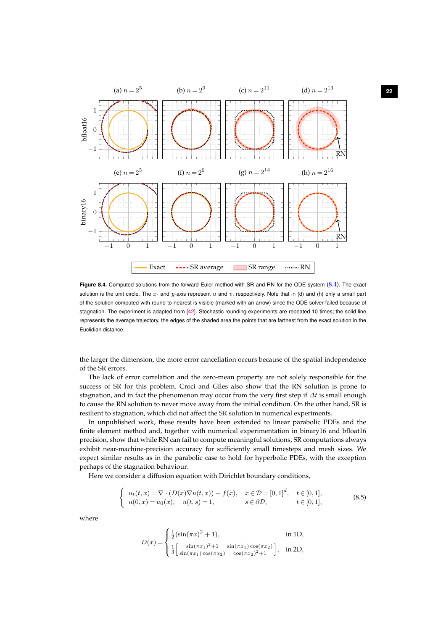<span id="page-22-2"></span>

<span id="page-22-0"></span>Figure 8.4. Computed solutions from the forward Euler method with SR and RN for the ODE system [\(8.4\)](#page-21-1). The exact solution is the unit circle. The  $x$ - and  $y$ -axis represent  $u$  and  $v$ , respectively. Note that in (d) and (h) only a small part of the solution computed with round-to-nearest is visible (marked with an arrow) since the ODE solver failed because of stagnation. The experiment is adapted from [\[42\]](#page-29-3). Stochastic rounding experiments are repeated 10 times; the solid line represents the average trajectory, the edges of the shaded area the points that are farthest from the exact solution in the Euclidian distance.

the larger the dimension, the more error cancellation occurs because of the spatial independence of the SR errors.

The lack of error correlation and the zero-mean property are not solely responsible for the success of SR for this problem. Croci and Giles also show that the RN solution is prone to stagnation, and in fact the phenomenon may occur from the very first step if  $\Delta t$  is small enough to cause the RN solution to never move away from the initial condition. On the other hand, SR is resilient to stagnation, which did not affect the SR solution in numerical experiments.

In unpublished work, these results have been extended to linear parabolic PDEs and the finite element method and, together with numerical experimentation in binary16 and bfloat16 precision, show that while RN can fail to compute meaningful solutions, SR computations always exhibit near-machine-precision accuracy for sufficiently small timesteps and mesh sizes. We expect similar results as in the parabolic case to hold for hyperbolic PDEs, with the exception perhaps of the stagnation behaviour.

Here we consider a diffusion equation with Dirichlet boundary conditions,

$$
\begin{cases}\nu_t(t,x) = \nabla \cdot (D(x)\nabla u(t,x)) + f(x), & x \in \mathcal{D} = [0,1]^d, \quad t \in [0,1], \\
u(0,x) = u_0(x), \quad u(t,s) = 1, & s \in \partial \mathcal{D}, \quad t \in [0,1],\n\end{cases}
$$
\n(8.5)

where

<span id="page-22-1"></span>
$$
D(x) = \begin{cases} \frac{1}{2} (\sin(\pi x)^2 + 1), & \text{in 1D,} \\ \frac{1}{3} \begin{bmatrix} \sin(\pi x_1)^2 + 1 & \sin(\pi x_1) \cos(\pi x_2) \\ \sin(\pi x_1) \cos(\pi x_2) & \cos(\pi x_2)^2 + 1 \end{bmatrix}, & \text{in 2D,} \end{cases}
$$

**22**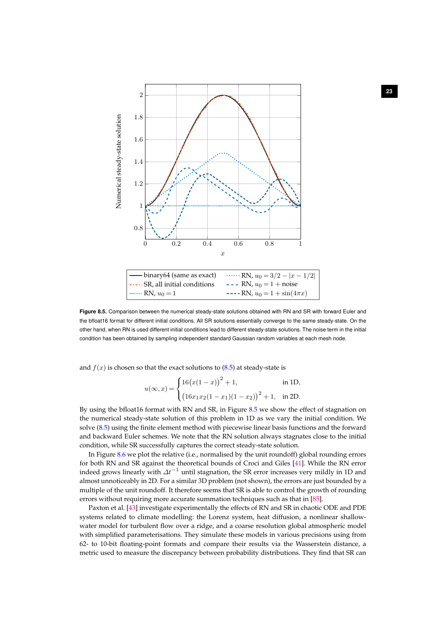<span id="page-23-1"></span>

<span id="page-23-0"></span>**Figure 8.5.** Comparison between the numerical steady-state solutions obtained with RN and SR with forward Euler and the bfloat16 format for different initial conditions. All SR solutions essentially converge to the same steady-state. On the other hand, when RN is used different initial conditions lead to different steady-state solutions. The noise term in the initial condition has been obtained by sampling independent standard Gaussian random variables at each mesh node.

and  $f(x)$  is chosen so that the exact solutions to  $(8.5)$  at steady-state is

$$
u(\infty, x) = \begin{cases} 16(x(1-x))^{2} + 1, & \text{in 1D,} \\ (16x_{1}x_{2}(1-x_{1})(1-x_{2}))^{2} + 1, & \text{in 2D.} \end{cases}
$$

By using the bfloat16 format with RN and SR, in Figure [8.5](#page-23-0) we show the effect of stagnation on the numerical steady-state solution of this problem in 1D as we vary the initial condition. We solve [\(8.5\)](#page-22-1) using the finite element method with piecewise linear basis functions and the forward and backward Euler schemes. We note that the RN solution always stagnates close to the initial condition, while SR successfully captures the correct steady-state solution.

In Figure [8.6](#page-24-0) we plot the relative (i.e., normalised by the unit roundoff) global rounding errors for both RN and SR against the theoretical bounds of Croci and Giles [\[41\]](#page-29-2). While the RN error indeed grows linearly with  $\Delta t^{-1}$  until stagnation, the SR error increases very mildly in 1D and almost unnoticeably in 2D. For a similar 3D problem (not shown), the errors are just bounded by a multiple of the unit roundoff. It therefore seems that SR is able to control the growth of rounding errors without requiring more accurate summation techniques such as that in [\[85\]](#page-31-1).

Paxton et al. [\[43\]](#page-29-4) investigate experimentally the effects of RN and SR in chaotic ODE and PDE systems related to climate modelling: the Lorenz system, heat diffusion, a nonlinear shallowwater model for turbulent flow over a ridge, and a coarse resolution global atmospheric model with simplified parameterisations. They simulate these models in various precisions using from 62- to 10-bit floating-point formats and compare their results via the Wasserstein distance, a metric used to measure the discrepancy between probability distributions. They find that SR can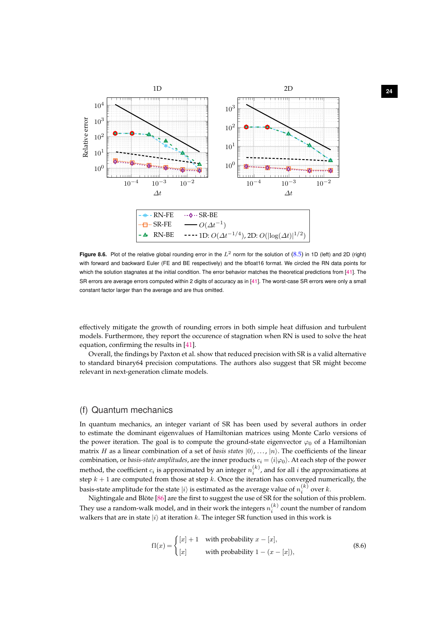<span id="page-24-2"></span>

<span id="page-24-0"></span>**Figure 8.6.** Plot of the relative global rounding error in the  $L^2$  norm for the solution of  $(8.5)$  in 1D (left) and 2D (right) with forward and backward Euler (FE and BE respectively) and the bfloat16 format. We circled the RN data points for which the solution stagnates at the initial condition. The error behavior matches the theoretical predictions from [\[41\]](#page-29-2). The SR errors are average errors computed within 2 digits of accuracy as in [\[41\]](#page-29-2). The worst-case SR errors were only a small constant factor larger than the average and are thus omitted.

effectively mitigate the growth of rounding errors in both simple heat diffusion and turbulent models. Furthermore, they report the occurence of stagnation when RN is used to solve the heat equation, confirming the results in [\[41\]](#page-29-2).

Overall, the findings by Paxton et al. show that reduced precision with SR is a valid alternative to standard binary64 precision computations. The authors also suggest that SR might become relevant in next-generation climate models.

## (f) Quantum mechanics

In quantum mechanics, an integer variant of SR has been used by several authors in order to estimate the dominant eigenvalues of Hamiltonian matrices using Monte Carlo versions of the power iteration. The goal is to compute the ground-state eigenvector  $\varphi_0$  of a Hamiltonian matrix H as a linear combination of a set of *basis states*  $|0\rangle$ , ...,  $|n\rangle$ . The coefficients of the linear combination, or *basis-state amplitudes*, are the inner products  $c_i = \langle i | \varphi_0 \rangle$ . At each step of the power method, the coefficient  $c_i$  is approximated by an integer  $n_i^{(k)}$ , and for all  $i$  the approximations at step  $k + 1$  are computed from those at step k. Once the iteration has converged numerically, the basis-state amplitude for the state  $|i\rangle$  is estimated as the average value of  $n_i^{(k)}$  over  $k.$ 

Nightingale and Blöte [\[86\]](#page-31-2) are the first to suggest the use of SR for the solution of this problem. They use a random-walk model, and in their work the integers  $n_i^{(k)}$  count the number of random walkers that are in state  $|i\rangle$  at iteration k. The integer SR function used in this work is

<span id="page-24-1"></span>
$$
f1(x) = \begin{cases} [x] + 1 & \text{with probability } x - [x], \\ [x] & \text{with probability } 1 - (x - [x]), \end{cases}
$$
(8.6)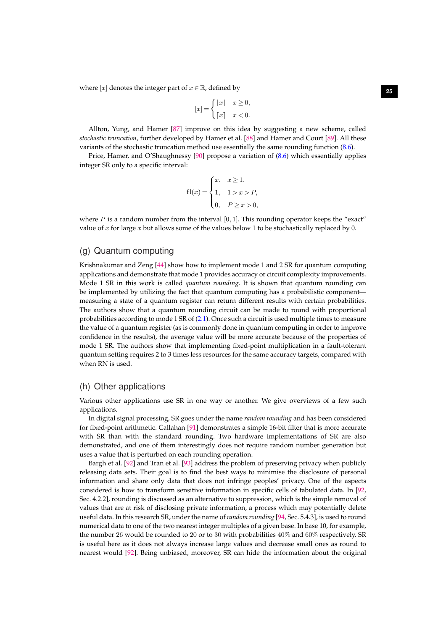where  $[x]$  denotes the integer part of  $x \in \mathbb{R}$ , defined by

$$
[x] = \begin{cases} \lfloor x \rfloor & x \ge 0, \\ \lceil x \rceil & x < 0. \end{cases}
$$

<span id="page-25-0"></span>Allton, Yung, and Hamer [\[87\]](#page-31-3) improve on this idea by suggesting a new scheme, called *stochastic truncation*, further developed by Hamer et al. [\[88\]](#page-31-4) and Hamer and Court [\[89\]](#page-31-5). All these variants of the stochastic truncation method use essentially the same rounding function [\(8.6\)](#page-24-1).

Price, Hamer, and O'Shaughnessy [\[90\]](#page-31-6) propose a variation of [\(8.6\)](#page-24-1) which essentially applies integer SR only to a specific interval:

$$
fl(x) = \begin{cases} x, & x \ge 1, \\ 1, & 1 > x > P, \\ 0, & P \ge x > 0, \end{cases}
$$

where  $P$  is a random number from the interval [0, 1]. This rounding operator keeps the "exact" value of  $x$  for large  $x$  but allows some of the values below 1 to be stochastically replaced by 0.

#### (g) Quantum computing

Krishnakumar and Zeng [\[44\]](#page-29-5) show how to implement mode 1 and 2 SR for quantum computing applications and demonstrate that mode 1 provides accuracy or circuit complexity improvements. Mode 1 SR in this work is called *quantum rounding*. It is shown that quantum rounding can be implemented by utilizing the fact that quantum computing has a probabilistic component measuring a state of a quantum register can return different results with certain probabilities. The authors show that a quantum rounding circuit can be made to round with proportional probabilities according to mode 1 SR of [\(2.1\)](#page-2-1). Once such a circuit is used multiple times to measure the value of a quantum register (as is commonly done in quantum computing in order to improve confidence in the results), the average value will be more accurate because of the properties of mode 1 SR. The authors show that implementing fixed-point multiplication in a fault-tolerant quantum setting requires 2 to 3 times less resources for the same accuracy targets, compared with when RN is used.

#### (h) Other applications

Various other applications use SR in one way or another. We give overviews of a few such applications.

In digital signal processing, SR goes under the name *random rounding* and has been considered for fixed-point arithmetic. Callahan [\[91\]](#page-31-7) demonstrates a simple 16-bit filter that is more accurate with SR than with the standard rounding. Two hardware implementations of SR are also demonstrated, and one of them interestingly does not require random number generation but uses a value that is perturbed on each rounding operation.

Bargh et al. [\[92\]](#page-31-8) and Tran et al. [\[93\]](#page-31-9) address the problem of preserving privacy when publicly releasing data sets. Their goal is to find the best ways to minimise the disclosure of personal information and share only data that does not infringe peoples' privacy. One of the aspects considered is how to transform sensitive information in specific cells of tabulated data. In [\[92,](#page-31-8) Sec. 4.2.2], rounding is discussed as an alternative to suppression, which is the simple removal of values that are at risk of disclosing private information, a process which may potentially delete useful data. In this research SR, under the name of *random rounding* [\[94,](#page-31-10) Sec. 5.4.3], is used to round numerical data to one of the two nearest integer multiples of a given base. In base 10, for example, the number 26 would be rounded to 20 or to 30 with probabilities 40% and 60% respectively. SR is useful here as it does not always increase large values and decrease small ones as round to nearest would [\[92\]](#page-31-8). Being unbiased, moreover, SR can hide the information about the original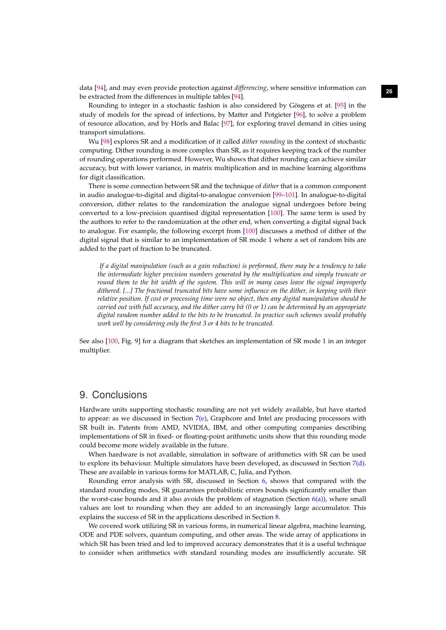**<sup>26</sup>** data [\[94\]](#page-31-10), and may even provide protection against *differencing*, where sensitive information can be extracted from the differences in multiple tables [\[94\]](#page-31-10).

Rounding to integer in a stochastic fashion is also considered by Gösgens et at. [\[95\]](#page-31-11) in the study of models for the spread of infections, by Matter and Potgieter [\[96\]](#page-31-12), to solve a problem of resource allocation, and by Hörls and Balac [\[97\]](#page-31-13), for exploring travel demand in cities using transport simulations.

<span id="page-26-0"></span>Wu [\[98\]](#page-31-14) explores SR and a modification of it called *dither rounding* in the context of stochastic computing. Dither rounding is more complex than SR, as it requires keeping track of the number of rounding operations performed. However, Wu shows that dither rounding can achieve similar accuracy, but with lower variance, in matrix multiplication and in machine learning algorithms for digit classification.

There is some connection between SR and the technique of *dither* that is a common component in audio analogue-to-digital and digital-to-analogue conversion [\[99–](#page-31-15)[101\]](#page-31-16). In analogue-to-digital conversion, dither relates to the randomization the analogue signal undergoes before being converted to a low-precision quantised digital representation [\[100\]](#page-31-17). The same term is used by the authors to refer to the randomization at the other end, when converting a digital signal back to analogue. For example, the following excerpt from [\[100\]](#page-31-17) discusses a method of dither of the digital signal that is similar to an implementation of SR mode 1 where a set of random bits are added to the part of fraction to be truncated.

*If a digital manipulation (such as a gain reduction) is performed, there may be a tendency to take the intermediate higher precision numbers generated by the multiplication and simply truncate or round them to the bit width of the system. This will in many cases leave the signal improperly dithered. [...] The fractional truncated bits have some influence on the dither, in keeping with their relative position. If cost or processing time were no object, then any digital manipulation should be carried out with full accuracy, and the dither carry bit (0 or 1) can be determined by an appropriate digital random number added to the bits to be truncated. In practice such schemes would probably work well by considering only the first 3 or 4 bits to be truncated.*

See also [\[100,](#page-31-17) Fig. 9] for a diagram that sketches an implementation of SR mode 1 in an integer multiplier.

## 9. Conclusions

Hardware units supporting stochastic rounding are not yet widely available, but have started to appear: as we discussed in Section [7](#page-9-0)[\(e\),](#page-15-0) Graphcore and Intel are producing processors with SR built in. Patents from AMD, NVIDIA, IBM, and other computing companies describing implementations of SR in fixed- or floating-point arithmetic units show that this rounding mode could become more widely available in the future.

When hardware is not available, simulation in software of arithmetics with SR can be used to explore its behaviour. Multiple simulators have been developed, as discussed in Section [7](#page-9-0)[\(d\).](#page-13-0) These are available in various forms for MATLAB, C, Julia, and Python.

Rounding error analysis with SR, discussed in Section  $6$ , shows that compared with the standard rounding modes, SR guarantees probabilistic errors bounds significantly smaller than the worst-case bounds and it also avoids the problem of stagnation (Section  $6(a)$  $6(a)$ ), where small values are lost to rounding when they are added to an increasingly large accumulator. This explains the success of SR in the applications described in Section [8.](#page-16-0)

We covered work utilizing SR in various forms, in numerical linear algebra, machine learning, ODE and PDE solvers, quantum computing, and other areas. The wide array of applications in which SR has been tried and led to improved accuracy demonstrates that it is a useful technique to consider when arithmetics with standard rounding modes are insufficiently accurate. SR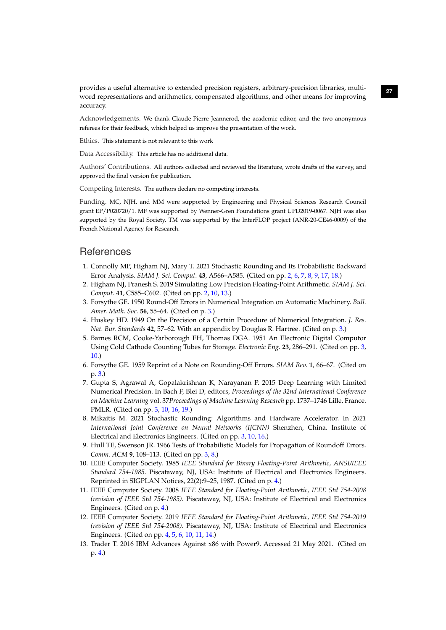**<sup>27</sup>** provides a useful alternative to extended precision registers, arbitrary-precision libraries, multiword representations and arithmetics, compensated algorithms, and other means for improving accuracy.

Acknowledgements. We thank Claude-Pierre Jeannerod, the academic editor, and the two anonymous referees for their feedback, which helped us improve the presentation of the work.

Ethics. This statement is not relevant to this work

Data Accessibility. This article has no additional data.

Authors' Contributions. All authors collected and reviewed the literature, wrote drafts of the survey, and approved the final version for publication.

Competing Interests. The authors declare no competing interests.

Funding. MC, NJH, and MM were supported by Engineering and Physical Sciences Research Council grant EP/P020720/1. MF was supported by Wenner-Gren Foundations grant UPD2019-0067. NJH was also supported by the Royal Society. TM was supported by the InterFLOP project (ANR-20-CE46-0009) of the French National Agency for Research.

## **References**

- <span id="page-27-0"></span>1. Connolly MP, Higham NJ, Mary T. 2021 Stochastic Rounding and Its Probabilistic Backward Error Analysis. *SIAM J. Sci. Comput.* **43**, A566–A585. (Cited on pp. [2,](#page-2-3) [6,](#page-6-1) [7,](#page-7-3) [8,](#page-8-6) [9,](#page-9-5) [17,](#page-17-3) [18.](#page-18-3))
- <span id="page-27-1"></span>2. Higham NJ, Pranesh S. 2019 Simulating Low Precision Floating-Point Arithmetic. *SIAM J. Sci. Comput.* **41**, C585–C602. (Cited on pp. [2,](#page-2-3) [10,](#page-10-4) [13.](#page-13-5))
- <span id="page-27-2"></span>3. Forsythe GE. 1950 Round-Off Errors in Numerical Integration on Automatic Machinery. *Bull. Amer. Math. Soc.* **56**, 55–64. (Cited on p. [3.](#page-3-3))
- <span id="page-27-3"></span>4. Huskey HD. 1949 On the Precision of a Certain Procedure of Numerical Integration. *J. Res. Nat. Bur. Standards* **42**, 57–62. With an appendix by Douglas R. Hartree. (Cited on p. [3.](#page-3-3))
- <span id="page-27-4"></span>5. Barnes RCM, Cooke-Yarborough EH, Thomas DGA. 1951 An Electronic Digital Computor Using Cold Cathode Counting Tubes for Storage. *Electronic Eng.* **23**, 286–291. (Cited on pp. [3,](#page-3-3) [10.](#page-10-4))
- <span id="page-27-5"></span>6. Forsythe GE. 1959 Reprint of a Note on Rounding-Off Errors. *SIAM Rev.* **1**, 66–67. (Cited on p. [3.](#page-3-3))
- <span id="page-27-6"></span>7. Gupta S, Agrawal A, Gopalakrishnan K, Narayanan P. 2015 Deep Learning with Limited Numerical Precision. In Bach F, Blei D, editors, *Proceedings of the 32nd International Conference on Machine Learning* vol. 37*Proceedings of Machine Learning Research* pp. 1737–1746 Lille, France. PMLR. (Cited on pp. [3,](#page-3-3) [10,](#page-10-4) [16,](#page-16-1) [19.](#page-19-0))
- <span id="page-27-7"></span>8. Mikaitis M. 2021 Stochastic Rounding: Algorithms and Hardware Accelerator. In *2021 International Joint Conference on Neural Networks (IJCNN)* Shenzhen, China. Institute of Electrical and Electronics Engineers. (Cited on pp. [3,](#page-3-3) [10,](#page-10-4) [16.](#page-16-1))
- <span id="page-27-8"></span>9. Hull TE, Swenson JR. 1966 Tests of Probabilistic Models for Propagation of Roundoff Errors. *Comm. ACM* **9**, 108–113. (Cited on pp. [3,](#page-3-3) [8.](#page-8-6))
- <span id="page-27-9"></span>10. IEEE Computer Society. 1985 *IEEE Standard for Binary Floating-Point Arithmetic, ANSI/IEEE Standard 754-1985*. Piscataway, NJ, USA: Institute of Electrical and Electronics Engineers. Reprinted in SIGPLAN Notices, 22(2):9–25, 1987. (Cited on p. [4.](#page-4-2))
- <span id="page-27-10"></span>11. IEEE Computer Society. 2008 *IEEE Standard for Floating-Point Arithmetic, IEEE Std 754-2008 (revision of IEEE Std 754-1985)*. Piscataway, NJ, USA: Institute of Electrical and Electronics Engineers. (Cited on p. [4.](#page-4-2))
- <span id="page-27-11"></span>12. IEEE Computer Society. 2019 *IEEE Standard for Floating-Point Arithmetic, IEEE Std 754-2019 (revision of IEEE Std 754-2008)*. Piscataway, NJ, USA: Institute of Electrical and Electronics Engineers. (Cited on pp. [4,](#page-4-2) [5,](#page-5-3) [6,](#page-6-1) [10,](#page-10-4) [11,](#page-11-4) [14.](#page-14-5))
- <span id="page-27-12"></span>13. Trader T. 2016 IBM Advances Against x86 with Power9. Accessed 21 May 2021. (Cited on p. [4.](#page-4-2))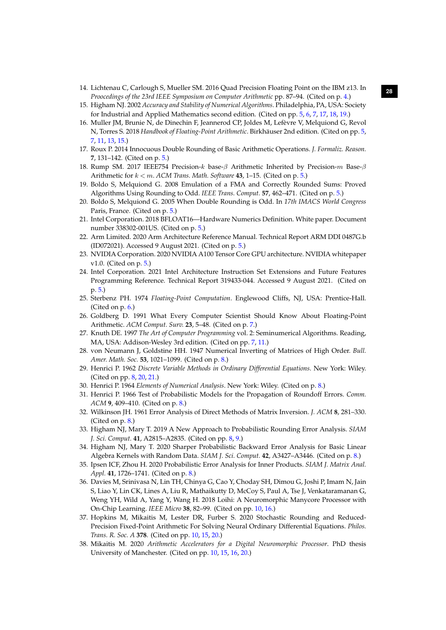- <span id="page-28-0"></span>**<sup>28</sup>** 14. Lichtenau C, Carlough S, Mueller SM. 2016 Quad Precision Floating Point on the IBM z13. In *Proocedings of the 23rd IEEE Symposium on Computer Arithmetic* pp. 87–94. (Cited on p. [4.](#page-4-2))
- <span id="page-28-1"></span>15. Higham NJ. 2002 *Accuracy and Stability of Numerical Algorithms*. Philadelphia, PA, USA: Society for Industrial and Applied Mathematics second edition. (Cited on pp. [5,](#page-5-3) [6,](#page-6-1) [7,](#page-7-3) [17,](#page-17-3) [18,](#page-18-3) [19.](#page-19-0))
- <span id="page-28-2"></span>16. Muller JM, Brunie N, de Dinechin F, Jeannerod CP, Joldes M, Lefèvre V, Melquiond G, Revol N, Torres S. 2018 *Handbook of Floating-Point Arithmetic*. Birkhäuser 2nd edition. (Cited on pp. [5,](#page-5-3) [7,](#page-7-3) [11,](#page-11-4) [13,](#page-13-5) [15.](#page-15-4))
- <span id="page-28-3"></span>17. Roux P. 2014 Innocuous Double Rounding of Basic Arithmetic Operations. *J. Formaliz. Reason.* **7**, 131–142. (Cited on p. [5.](#page-5-3))
- <span id="page-28-4"></span>18. Rump SM. 2017 IEEE754 Precision- $k$  base-β Arithmetic Inherited by Precision- $m$  Base-β Arithmetic for k < m. *ACM Trans. Math. Software* **43**, 1–15. (Cited on p. [5.](#page-5-3))
- <span id="page-28-5"></span>19. Boldo S, Melquiond G. 2008 Emulation of a FMA and Correctly Rounded Sums: Proved Algorithms Using Rounding to Odd. *IEEE Trans. Comput.* **57**, 462–471. (Cited on p. [5.](#page-5-3))
- <span id="page-28-6"></span>20. Boldo S, Melquiond G. 2005 When Double Rounding is Odd. In *17th IMACS World Congress* Paris, France. (Cited on p. [5.](#page-5-3))
- <span id="page-28-7"></span>21. Intel Corporation. 2018 BFLOAT16—Hardware Numerics Definition. White paper. Document number 338302-001US. (Cited on p. [5.](#page-5-3))
- <span id="page-28-8"></span>22. Arm Limited. 2020 Arm Architecture Reference Manual. Technical Report ARM DDI 0487G.b (ID072021). Accessed 9 August 2021. (Cited on p. [5.](#page-5-3))
- <span id="page-28-9"></span>23. NVIDIA Corporation. 2020 NVIDIA A100 Tensor Core GPU architecture. NVIDIA whitepaper v1.0. (Cited on p. [5.](#page-5-3))
- <span id="page-28-10"></span>24. Intel Corporation. 2021 Intel Architecture Instruction Set Extensions and Future Features Programming Reference. Technical Report 319433-044. Accessed 9 August 2021. (Cited on p. [5.](#page-5-3))
- <span id="page-28-11"></span>25. Sterbenz PH. 1974 *Floating-Point Computation*. Englewood Cliffs, NJ, USA: Prentice-Hall. (Cited on p. [6.](#page-6-1))
- <span id="page-28-12"></span>26. Goldberg D. 1991 What Every Computer Scientist Should Know About Floating-Point Arithmetic. *ACM Comput. Surv.* **23**, 5–48. (Cited on p. [7.](#page-7-3))
- <span id="page-28-13"></span>27. Knuth DE. 1997 *The Art of Computer Programming* vol. 2: Seminumerical Algorithms. Reading, MA, USA: Addison-Wesley 3rd edition. (Cited on pp. [7,](#page-7-3) [11.](#page-11-4))
- <span id="page-28-14"></span>28. von Neumann J, Goldstine HH. 1947 Numerical Inverting of Matrices of High Order. *Bull. Amer. Math. Soc.* **53**, 1021–1099. (Cited on p. [8.](#page-8-6))
- <span id="page-28-15"></span>29. Henrici P. 1962 *Discrete Variable Methods in Ordinary Differential Equations*. New York: Wiley. (Cited on pp. [8,](#page-8-6) [20,](#page-20-0) [21.](#page-21-2))
- <span id="page-28-16"></span>30. Henrici P. 1964 *Elements of Numerical Analysis*. New York: Wiley. (Cited on p. [8.](#page-8-6))
- <span id="page-28-17"></span>31. Henrici P. 1966 Test of Probabilistic Models for the Propagation of Roundoff Errors. *Comm. ACM* **9**, 409–410. (Cited on p. [8.](#page-8-6))
- <span id="page-28-18"></span>32. Wilkinson JH. 1961 Error Analysis of Direct Methods of Matrix Inversion. *J. ACM* **8**, 281–330. (Cited on p. [8.](#page-8-6))
- <span id="page-28-19"></span>33. Higham NJ, Mary T. 2019 A New Approach to Probabilistic Rounding Error Analysis. *SIAM J. Sci. Comput.* **41**, A2815–A2835. (Cited on pp. [8,](#page-8-6) [9.](#page-9-5))
- <span id="page-28-20"></span>34. Higham NJ, Mary T. 2020 Sharper Probabilistic Backward Error Analysis for Basic Linear Algebra Kernels with Random Data. *SIAM J. Sci. Comput.* **42**, A3427–A3446. (Cited on p. [8.](#page-8-6))
- <span id="page-28-21"></span>35. Ipsen ICF, Zhou H. 2020 Probabilistic Error Analysis for Inner Products. *SIAM J. Matrix Anal. Appl.* **41**, 1726–1741. (Cited on p. [8.](#page-8-6))
- <span id="page-28-22"></span>36. Davies M, Srinivasa N, Lin TH, Chinya G, Cao Y, Choday SH, Dimou G, Joshi P, Imam N, Jain S, Liao Y, Lin CK, Lines A, Liu R, Mathaikutty D, McCoy S, Paul A, Tse J, Venkataramanan G, Weng YH, Wild A, Yang Y, Wang H. 2018 Loihi: A Neuromorphic Manycore Processor with On-Chip Learning. *IEEE Micro* **38**, 82–99. (Cited on pp. [10,](#page-10-4) [16.](#page-16-1))
- <span id="page-28-23"></span>37. Hopkins M, Mikaitis M, Lester DR, Furber S. 2020 Stochastic Rounding and Reduced-Precision Fixed-Point Arithmetic For Solving Neural Ordinary Differential Equations. *Philos. Trans. R. Soc. A* **378**. (Cited on pp. [10,](#page-10-4) [15,](#page-15-4) [20.](#page-20-0))
- <span id="page-28-24"></span>38. Mikaitis M. 2020 *Arithmetic Accelerators for a Digital Neuromorphic Processor*. PhD thesis University of Manchester. (Cited on pp. [10,](#page-10-4) [15,](#page-15-4) [16,](#page-16-1) [20.](#page-20-0))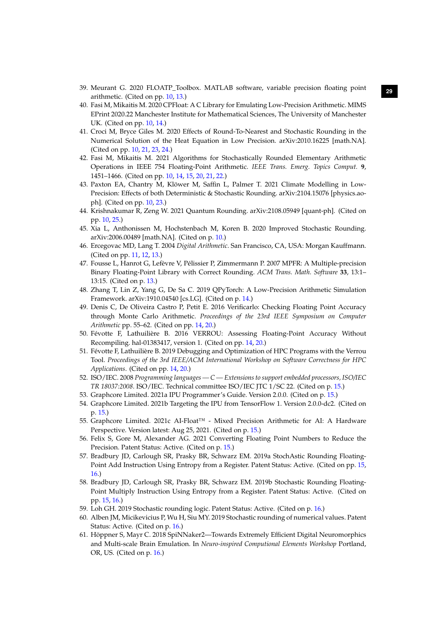- <span id="page-29-0"></span>**<sup>29</sup>** 39. Meurant G. 2020 FLOATP\_Toolbox. MATLAB software, variable precision floating point arithmetic. (Cited on pp. [10,](#page-10-4) [13.](#page-13-5))
- <span id="page-29-1"></span>40. Fasi M, Mikaitis M. 2020 CPFloat: A C Library for Emulating Low-Precision Arithmetic. MIMS EPrint 2020.22 Manchester Institute for Mathematical Sciences, The University of Manchester UK. (Cited on pp. [10,](#page-10-4) [14.](#page-14-5))
- <span id="page-29-2"></span>41. Croci M, Bryce Giles M. 2020 Effects of Round-To-Nearest and Stochastic Rounding in the Numerical Solution of the Heat Equation in Low Precision. arXiv:2010.16225 [math.NA]. (Cited on pp. [10,](#page-10-4) [21,](#page-21-2) [23,](#page-23-1) [24.](#page-24-2))
- <span id="page-29-3"></span>42. Fasi M, Mikaitis M. 2021 Algorithms for Stochastically Rounded Elementary Arithmetic Operations in IEEE 754 Floating-Point Arithmetic. *IEEE Trans. Emerg. Topics Comput.* **9**, 1451–1466. (Cited on pp. [10,](#page-10-4) [14,](#page-14-5) [15,](#page-15-4) [20,](#page-20-0) [21,](#page-21-2) [22.](#page-22-2))
- <span id="page-29-4"></span>43. Paxton EA, Chantry M, Klöwer M, Saffin L, Palmer T. 2021 Climate Modelling in Low-Precision: Effects of both Deterministic & Stochastic Rounding. arXiv:2104.15076 [physics.aoph]. (Cited on pp. [10,](#page-10-4) [23.](#page-23-1))
- <span id="page-29-5"></span>44. Krishnakumar R, Zeng W. 2021 Quantum Rounding. arXiv:2108.05949 [quant-ph]. (Cited on pp. [10,](#page-10-4) [25.](#page-25-0))
- <span id="page-29-6"></span>45. Xia L, Anthonissen M, Hochstenbach M, Koren B. 2020 Improved Stochastic Rounding. arXiv:2006.00489 [math.NA]. (Cited on p. [10.](#page-10-4))
- <span id="page-29-7"></span>46. Ercegovac MD, Lang T. 2004 *Digital Arithmetic*. San Francisco, CA, USA: Morgan Kauffmann. (Cited on pp. [11,](#page-11-4) [12,](#page-12-1) [13.](#page-13-5))
- <span id="page-29-8"></span>47. Fousse L, Hanrot G, Lefèvre V, Pélissier P, Zimmermann P. 2007 MPFR: A Multiple-precision Binary Floating-Point Library with Correct Rounding. *ACM Trans. Math. Software* **33**, 13:1– 13:15. (Cited on p. [13.](#page-13-5))
- <span id="page-29-9"></span>48. Zhang T, Lin Z, Yang G, De Sa C. 2019 QPyTorch: A Low-Precision Arithmetic Simulation Framework. arXiv:1910.04540 [cs.LG]. (Cited on p. [14.](#page-14-5))
- <span id="page-29-10"></span>49. Denis C, De Oliveira Castro P, Petit E. 2016 Verificarlo: Checking Floating Point Accuracy through Monte Carlo Arithmetic. *Proceedings of the 23rd IEEE Symposium on Computer Arithmetic* pp. 55–62. (Cited on pp. [14,](#page-14-5) [20.](#page-20-0))
- <span id="page-29-11"></span>50. Févotte F, Lathuilière B. 2016 VERROU: Assessing Floating-Point Accuracy Without Recompiling. hal-01383417, version 1. (Cited on pp. [14,](#page-14-5) [20.](#page-20-0))
- <span id="page-29-12"></span>51. Févotte F, Lathuilière B. 2019 Debugging and Optimization of HPC Programs with the Verrou Tool. *Proceedings of the 3rd IEEE/ACM International Workshop on Software Correctness for HPC Applications*. (Cited on pp. [14,](#page-14-5) [20.](#page-20-0))
- <span id="page-29-13"></span>52. ISO/IEC. 2008 *Programming languages — C — Extensions to support embedded processors, ISO/IEC TR 18037:2008*. ISO/IEC. Technical committee ISO/IEC JTC 1/SC 22. (Cited on p. [15.](#page-15-4))
- <span id="page-29-14"></span>53. Graphcore Limited. 2021a IPU Programmer's Guide. Version 2.0.0. (Cited on p. [15.](#page-15-4))
- <span id="page-29-15"></span>54. Graphcore Limited. 2021b Targeting the IPU from TensorFlow 1. Version 2.0.0-dc2. (Cited on p. [15.](#page-15-4))
- <span id="page-29-16"></span>55. Graphcore Limited. 2021c AI-Float™ - Mixed Precision Arithmetic for AI: A Hardware Perspective. Version latest: Aug 25, 2021. (Cited on p. [15.](#page-15-4))
- <span id="page-29-17"></span>56. Felix S, Gore M, Alexander AG. 2021 Converting Floating Point Numbers to Reduce the Precision. Patent Status: Active. (Cited on p. [15.](#page-15-4))
- <span id="page-29-18"></span>57. Bradbury JD, Carlough SR, Prasky BR, Schwarz EM. 2019a StochAstic Rounding Floating-Point Add Instruction Using Entropy from a Register. Patent Status: Active. (Cited on pp. [15,](#page-15-4) [16.](#page-16-1))
- <span id="page-29-19"></span>58. Bradbury JD, Carlough SR, Prasky BR, Schwarz EM. 2019b Stochastic Rounding Floating-Point Multiply Instruction Using Entropy from a Register. Patent Status: Active. (Cited on pp. [15,](#page-15-4) [16.](#page-16-1))
- <span id="page-29-20"></span>59. Loh GH. 2019 Stochastic rounding logic. Patent Status: Active. (Cited on p. [16.](#page-16-1))
- <span id="page-29-21"></span>60. Alben JM, Micikevicius P, Wu H, Siu MY. 2019 Stochastic rounding of numerical values. Patent Status: Active. (Cited on p. [16.](#page-16-1))
- <span id="page-29-22"></span>61. Höppner S, Mayr C. 2018 SpiNNaker2—Towards Extremely Efficient Digital Neuromorphics and Multi-scale Brain Emulation. In *Neuro-inspired Computional Elements Workshop* Portland, OR, US. (Cited on p. [16.](#page-16-1))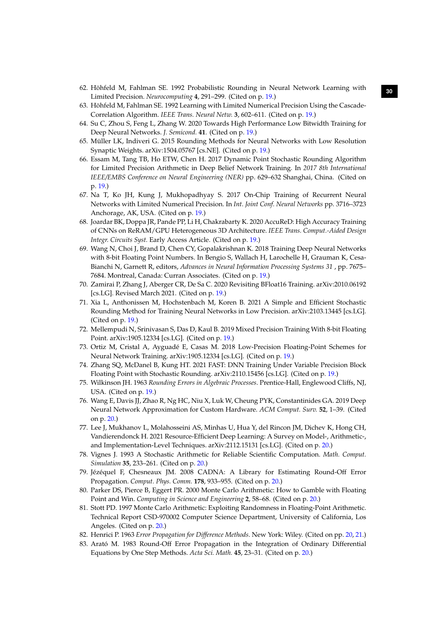- <span id="page-30-0"></span>**<sup>30</sup>** 62. Höhfeld M, Fahlman SE. 1992 Probabilistic Rounding in Neural Network Learning with Limited Precision. *Neurocomputing* **4**, 291–299. (Cited on p. [19.](#page-19-0))
- <span id="page-30-1"></span>63. Höhfeld M, Fahlman SE. 1992 Learning with Limited Numerical Precision Using the Cascade-Correlation Algorithm. *IEEE Trans. Neural Netw.* **3**, 602–611. (Cited on p. [19.](#page-19-0))
- <span id="page-30-2"></span>64. Su C, Zhou S, Feng L, Zhang W. 2020 Towards High Performance Low Bitwidth Training for Deep Neural Networks. *J. Semicond.* **41**. (Cited on p. [19.](#page-19-0))
- <span id="page-30-3"></span>65. Müller LK, Indiveri G. 2015 Rounding Methods for Neural Networks with Low Resolution Synaptic Weights. arXiv:1504.05767 [cs.NE]. (Cited on p. [19.](#page-19-0))
- <span id="page-30-4"></span>66. Essam M, Tang TB, Ho ETW, Chen H. 2017 Dynamic Point Stochastic Rounding Algorithm for Limited Precision Arithmetic in Deep Belief Network Training. In *2017 8th International IEEE/EMBS Conference on Neural Engineering (NER)* pp. 629–632 Shanghai, China. (Cited on p. [19.](#page-19-0))
- <span id="page-30-5"></span>67. Na T, Ko JH, Kung J, Mukhopadhyay S. 2017 On-Chip Training of Recurrent Neural Networks with Limited Numerical Precision. In *Int. Joint Conf. Neural Networks* pp. 3716–3723 Anchorage, AK, USA. (Cited on p. [19.](#page-19-0))
- <span id="page-30-6"></span>68. Joardar BK, Doppa JR, Pande PP, Li H, Chakrabarty K. 2020 AccuReD: High Accuracy Training of CNNs on ReRAM/GPU Heterogeneous 3D Architecture. *IEEE Trans. Comput.-Aided Design Integr. Circuits Syst.* Early Access Article. (Cited on p. [19.](#page-19-0))
- <span id="page-30-7"></span>69. Wang N, Choi J, Brand D, Chen CY, Gopalakrishnan K. 2018 Training Deep Neural Networks with 8-bit Floating Point Numbers. In Bengio S, Wallach H, Larochelle H, Grauman K, Cesa-Bianchi N, Garnett R, editors, *Advances in Neural Information Processing Systems 31* , pp. 7675– 7684. Montreal, Canada: Curran Associates. (Cited on p. [19.](#page-19-0))
- <span id="page-30-8"></span>70. Zamirai P, Zhang J, Aberger CR, De Sa C. 2020 Revisiting BFloat16 Training. arXiv:2010.06192 [cs.LG]. Revised March 2021. (Cited on p. [19.](#page-19-0))
- <span id="page-30-9"></span>71. Xia L, Anthonissen M, Hochstenbach M, Koren B. 2021 A Simple and Efficient Stochastic Rounding Method for Training Neural Networks in Low Precision. arXiv:2103.13445 [cs.LG]. (Cited on p. [19.](#page-19-0))
- <span id="page-30-10"></span>72. Mellempudi N, Srinivasan S, Das D, Kaul B. 2019 Mixed Precision Training With 8-bit Floating Point. arXiv:1905.12334 [cs.LG]. (Cited on p. [19.](#page-19-0))
- <span id="page-30-11"></span>73. Ortiz M, Cristal A, Ayguadé E, Casas M. 2018 Low-Precision Floating-Point Schemes for Neural Network Training. arXiv:1905.12334 [cs.LG]. (Cited on p. [19.](#page-19-0))
- <span id="page-30-12"></span>74. Zhang SQ, McDanel B, Kung HT. 2021 FAST: DNN Training Under Variable Precision Block Floating Point with Stochastic Rounding. arXiv:2110.15456 [cs.LG]. (Cited on p. [19.](#page-19-0))
- <span id="page-30-13"></span>75. Wilkinson JH. 1963 *Rounding Errors in Algebraic Processes*. Prentice-Hall, Englewood Cliffs, NJ, USA. (Cited on p. [19.](#page-19-0))
- <span id="page-30-14"></span>76. Wang E, Davis JJ, Zhao R, Ng HC, Niu X, Luk W, Cheung PYK, Constantinides GA. 2019 Deep Neural Network Approximation for Custom Hardware. *ACM Comput. Surv.* **52**, 1–39. (Cited on p. [20.](#page-20-0))
- <span id="page-30-15"></span>77. Lee J, Mukhanov L, Molahosseini AS, Minhas U, Hua Y, del Rincon JM, Dichev K, Hong CH, Vandierendonck H. 2021 Resource-Efficient Deep Learning: A Survey on Model-, Arithmetic-, and Implementation-Level Techniques. arXiv:2112.15131 [cs.LG]. (Cited on p. [20.](#page-20-0))
- <span id="page-30-16"></span>78. Vignes J. 1993 A Stochastic Arithmetic for Reliable Scientific Computation. *Math. Comput. Simulation* **35**, 233–261. (Cited on p. [20.](#page-20-0))
- <span id="page-30-17"></span>79. Jézéquel F, Chesneaux JM. 2008 CADNA: A Library for Estimating Round-Off Error Propagation. *Comput. Phys. Comm.* **178**, 933–955. (Cited on p. [20.](#page-20-0))
- <span id="page-30-18"></span>80. Parker DS, Pierce B, Eggert PR. 2000 Monte Carlo Arithmetic: How to Gamble with Floating Point and Win. *Computing in Science and Engineering* **2**, 58–68. (Cited on p. [20.](#page-20-0))
- <span id="page-30-19"></span>81. Stott PD. 1997 Monte Carlo Arithmetic: Exploiting Randomness in Floating-Point Arithmetic. Technical Report CSD-970002 Computer Science Department, University of California, Los Angeles. (Cited on p. [20.](#page-20-0))
- <span id="page-30-20"></span>82. Henrici P. 1963 *Error Propagation for Difference Methods*. New York: Wiley. (Cited on pp. [20,](#page-20-0) [21.](#page-21-2))
- <span id="page-30-21"></span>83. Arató M. 1983 Round-Off Error Propagation in the Integration of Ordinary Differential Equations by One Step Methods. *Acta Sci. Math.* **45**, 23–31. (Cited on p. [20.](#page-20-0))